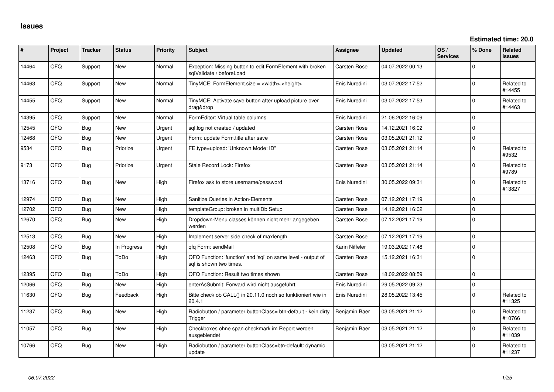| #     | Project | <b>Tracker</b> | <b>Status</b> | <b>Priority</b> | <b>Subject</b>                                                                          | Assignee            | <b>Updated</b>   | OS/<br><b>Services</b> | % Done         | Related<br><b>issues</b> |
|-------|---------|----------------|---------------|-----------------|-----------------------------------------------------------------------------------------|---------------------|------------------|------------------------|----------------|--------------------------|
| 14464 | QFQ     | Support        | New           | Normal          | Exception: Missing button to edit FormElement with broken<br>sqlValidate / beforeLoad   | Carsten Rose        | 04.07.2022 00:13 |                        | $\Omega$       |                          |
| 14463 | QFQ     | Support        | New           | Normal          | TinyMCE: FormElement.size = <width>,<height></height></width>                           | Enis Nuredini       | 03.07.2022 17:52 |                        | $\Omega$       | Related to<br>#14455     |
| 14455 | QFQ     | Support        | New           | Normal          | TinyMCE: Activate save button after upload picture over<br>drag&drop                    | Enis Nuredini       | 03.07.2022 17:53 |                        | $\Omega$       | Related to<br>#14463     |
| 14395 | QFQ     | Support        | <b>New</b>    | Normal          | FormEditor: Virtual table columns                                                       | Enis Nuredini       | 21.06.2022 16:09 |                        | $\Omega$       |                          |
| 12545 | QFQ     | Bug            | <b>New</b>    | Urgent          | sql.log not created / updated                                                           | <b>Carsten Rose</b> | 14.12.2021 16:02 |                        | $\Omega$       |                          |
| 12468 | QFQ     | Bug            | New           | Urgent          | Form: update Form.title after save                                                      | Carsten Rose        | 03.05.2021 21:12 |                        | $\Omega$       |                          |
| 9534  | QFQ     | Bug            | Priorize      | Urgent          | FE.type=upload: 'Unknown Mode: ID"                                                      | <b>Carsten Rose</b> | 03.05.2021 21:14 |                        | $\Omega$       | Related to<br>#9532      |
| 9173  | QFQ     | Bug            | Priorize      | Urgent          | Stale Record Lock: Firefox                                                              | <b>Carsten Rose</b> | 03.05.2021 21:14 |                        | $\Omega$       | Related to<br>#9789      |
| 13716 | QFQ     | Bug            | New           | High            | Firefox ask to store username/password                                                  | Enis Nuredini       | 30.05.2022 09:31 |                        | $\Omega$       | Related to<br>#13827     |
| 12974 | QFQ     | Bug            | New           | High            | Sanitize Queries in Action-Elements                                                     | Carsten Rose        | 07.12.2021 17:19 |                        | $\Omega$       |                          |
| 12702 | QFQ     | Bug            | New           | High            | templateGroup: broken in multiDb Setup                                                  | <b>Carsten Rose</b> | 14.12.2021 16:02 |                        | $\Omega$       |                          |
| 12670 | QFQ     | Bug            | <b>New</b>    | High            | Dropdown-Menu classes können nicht mehr angegeben<br>werden                             | <b>Carsten Rose</b> | 07.12.2021 17:19 |                        | l 0            |                          |
| 12513 | QFQ     | Bug            | <b>New</b>    | High            | Implement server side check of maxlength                                                | Carsten Rose        | 07.12.2021 17:19 |                        | $\Omega$       |                          |
| 12508 | QFQ     | Bug            | In Progress   | High            | qfq Form: sendMail                                                                      | Karin Niffeler      | 19.03.2022 17:48 |                        | $\Omega$       |                          |
| 12463 | QFQ     | Bug            | ToDo          | High            | QFQ Function: 'function' and 'sql' on same level - output of<br>sql is shown two times. | <b>Carsten Rose</b> | 15.12.2021 16:31 |                        | $\Omega$       |                          |
| 12395 | QFQ     | Bug            | ToDo          | High            | QFQ Function: Result two times shown                                                    | Carsten Rose        | 18.02.2022 08:59 |                        | $\overline{0}$ |                          |
| 12066 | QFQ     | Bug            | New           | High            | enterAsSubmit: Forward wird nicht ausgeführt                                            | Enis Nuredini       | 29.05.2022 09:23 |                        | $\Omega$       |                          |
| 11630 | QFQ     | Bug            | Feedback      | High            | Bitte check ob CALL() in 20.11.0 noch so funktioniert wie in<br>20.4.1                  | Enis Nuredini       | 28.05.2022 13:45 |                        | $\Omega$       | Related to<br>#11325     |
| 11237 | QFQ     | Bug            | New           | High            | Radiobutton / parameter.buttonClass= btn-default - kein dirty<br>Trigger                | Benjamin Baer       | 03.05.2021 21:12 |                        | $\Omega$       | Related to<br>#10766     |
| 11057 | QFQ     | <b>Bug</b>     | <b>New</b>    | High            | Checkboxes ohne span.checkmark im Report werden<br>ausgeblendet                         | Benjamin Baer       | 03.05.2021 21:12 |                        | $\Omega$       | Related to<br>#11039     |
| 10766 | QFQ     | Bug            | New           | High            | Radiobutton / parameter.buttonClass=btn-default: dynamic<br>update                      |                     | 03.05.2021 21:12 |                        | $\Omega$       | Related to<br>#11237     |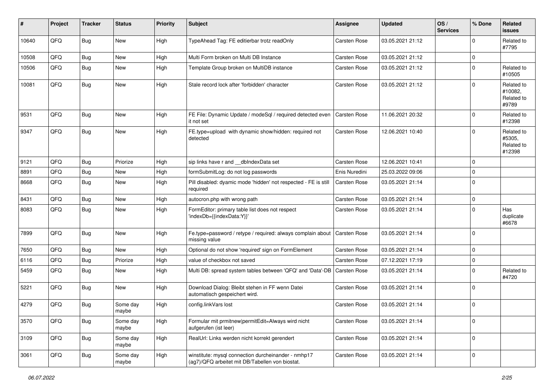| $\sharp$ | Project | <b>Tracker</b> | <b>Status</b>     | <b>Priority</b> | <b>Subject</b>                                                                                         | <b>Assignee</b>     | <b>Updated</b>   | OS/<br><b>Services</b> | % Done      | Related<br><b>issues</b>                     |
|----------|---------|----------------|-------------------|-----------------|--------------------------------------------------------------------------------------------------------|---------------------|------------------|------------------------|-------------|----------------------------------------------|
| 10640    | QFQ     | Bug            | New               | High            | TypeAhead Tag: FE editierbar trotz readOnly                                                            | Carsten Rose        | 03.05.2021 21:12 |                        | $\Omega$    | Related to<br>#7795                          |
| 10508    | QFQ     | <b>Bug</b>     | New               | High            | Multi Form broken on Multi DB Instance                                                                 | Carsten Rose        | 03.05.2021 21:12 |                        | 0           |                                              |
| 10506    | QFQ     | Bug            | New               | High            | Template Group broken on MultiDB instance                                                              | Carsten Rose        | 03.05.2021 21:12 |                        | $\mathbf 0$ | Related to<br>#10505                         |
| 10081    | QFQ     | Bug            | New               | High            | Stale record lock after 'forbidden' character                                                          | Carsten Rose        | 03.05.2021 21:12 |                        | l 0         | Related to<br>#10082,<br>Related to<br>#9789 |
| 9531     | QFQ     | <b>Bug</b>     | New               | High            | FE File: Dynamic Update / modeSql / required detected even<br>it not set                               | <b>Carsten Rose</b> | 11.06.2021 20:32 |                        | 0           | Related to<br>#12398                         |
| 9347     | QFQ     | <b>Bug</b>     | <b>New</b>        | High            | FE.type=upload with dynamic show/hidden: required not<br>detected                                      | Carsten Rose        | 12.06.2021 10:40 |                        | $\mathbf 0$ | Related to<br>#5305,<br>Related to<br>#12398 |
| 9121     | QFQ     | Bug            | Priorize          | High            | sip links have r and dblndexData set                                                                   | Carsten Rose        | 12.06.2021 10:41 |                        | 0           |                                              |
| 8891     | QFQ     | <b>Bug</b>     | New               | High            | formSubmitLog: do not log passwords                                                                    | Enis Nuredini       | 25.03.2022 09:06 |                        | $\mathbf 0$ |                                              |
| 8668     | QFQ     | Bug            | New               | High            | Pill disabled: dyamic mode 'hidden' not respected - FE is still<br>required                            | Carsten Rose        | 03.05.2021 21:14 |                        | l 0         |                                              |
| 8431     | QFQ     | Bug            | <b>New</b>        | High            | autocron.php with wrong path                                                                           | Carsten Rose        | 03.05.2021 21:14 |                        | 0           |                                              |
| 8083     | QFQ     | Bug            | New               | High            | FormEditor: primary table list does not respect<br>'indexDb={{indexData:Y}}'                           | Carsten Rose        | 03.05.2021 21:14 |                        | $\mathbf 0$ | Has<br>duplicate<br>#6678                    |
| 7899     | QFQ     | Bug            | New               | High            | Fe.type=password / retype / required: always complain about<br>missing value                           | Carsten Rose        | 03.05.2021 21:14 |                        | 0           |                                              |
| 7650     | QFQ     | Bug            | New               | High            | Optional do not show 'required' sign on FormElement                                                    | Carsten Rose        | 03.05.2021 21:14 |                        | 0           |                                              |
| 6116     | QFQ     | Bug            | Priorize          | High            | value of checkbox not saved                                                                            | Carsten Rose        | 07.12.2021 17:19 |                        | 0           |                                              |
| 5459     | QFQ     | <b>Bug</b>     | New               | High            | Multi DB: spread system tables between 'QFQ' and 'Data'-DB                                             | Carsten Rose        | 03.05.2021 21:14 |                        | $\mathbf 0$ | Related to<br>#4720                          |
| 5221     | QFQ     | Bug            | New               | High            | Download Dialog: Bleibt stehen in FF wenn Datei<br>automatisch gespeichert wird.                       | Carsten Rose        | 03.05.2021 21:14 |                        | $\mathbf 0$ |                                              |
| 4279     | QFQ     | Bug            | Some day<br>maybe | High            | config.linkVars lost                                                                                   | Carsten Rose        | 03.05.2021 21:14 |                        | 0           |                                              |
| 3570     | QFQ     | Bug            | Some day<br>maybe | High            | Formular mit prmitnew permitEdit=Always wird nicht<br>aufgerufen (ist leer)                            | Carsten Rose        | 03.05.2021 21:14 |                        | 0           |                                              |
| 3109     | QFQ     | <b>Bug</b>     | Some day<br>maybe | High            | RealUrl: Links werden nicht korrekt gerendert                                                          | Carsten Rose        | 03.05.2021 21:14 |                        | 0           |                                              |
| 3061     | QFQ     | Bug            | Some day<br>maybe | High            | winstitute: mysql connection durcheinander - nmhp17<br>(ag7)/QFQ arbeitet mit DB/Tabellen von biostat. | Carsten Rose        | 03.05.2021 21:14 |                        | 0           |                                              |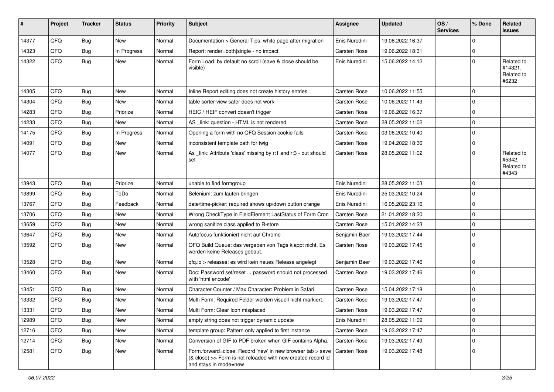| #     | Project | <b>Tracker</b> | <b>Status</b> | <b>Priority</b> | <b>Subject</b>                                                                                                                                      | Assignee            | <b>Updated</b>   | OS/<br><b>Services</b> | % Done         | Related<br>issues                            |
|-------|---------|----------------|---------------|-----------------|-----------------------------------------------------------------------------------------------------------------------------------------------------|---------------------|------------------|------------------------|----------------|----------------------------------------------|
| 14377 | QFQ     | Bug            | New           | Normal          | Documentation > General Tips: white page after migration                                                                                            | Enis Nuredini       | 19.06.2022 16:37 |                        | $\Omega$       |                                              |
| 14323 | QFQ     | Bug            | In Progress   | Normal          | Report: render=both single - no impact                                                                                                              | Carsten Rose        | 19.06.2022 18:31 |                        | $\mathbf 0$    |                                              |
| 14322 | QFQ     | <b>Bug</b>     | <b>New</b>    | Normal          | Form Load: by default no scroll (save & close should be<br>visible)                                                                                 | Enis Nuredini       | 15.06.2022 14:12 |                        | 0              | Related to<br>#14321,<br>Related to<br>#6232 |
| 14305 | QFQ     | <b>Bug</b>     | <b>New</b>    | Normal          | Inline Report editing does not create history entries                                                                                               | Carsten Rose        | 10.06.2022 11:55 |                        | $\mathbf 0$    |                                              |
| 14304 | QFQ     | Bug            | New           | Normal          | table sorter view safer does not work                                                                                                               | <b>Carsten Rose</b> | 10.06.2022 11:49 |                        | $\Omega$       |                                              |
| 14283 | QFQ     | <b>Bug</b>     | Priorize      | Normal          | HEIC / HEIF convert doesn't trigger                                                                                                                 | Carsten Rose        | 19.06.2022 16:37 |                        | $\mathbf 0$    |                                              |
| 14233 | QFQ     | Bug            | New           | Normal          | AS _link: question - HTML is not rendered                                                                                                           | Carsten Rose        | 28.05.2022 11:02 |                        | $\mathbf 0$    |                                              |
| 14175 | QFQ     | <b>Bug</b>     | In Progress   | Normal          | Opening a form with no QFQ Session cookie fails                                                                                                     | Carsten Rose        | 03.06.2022 10:40 |                        | $\Omega$       |                                              |
| 14091 | QFQ     | <b>Bug</b>     | New           | Normal          | inconsistent template path for twig                                                                                                                 | Carsten Rose        | 19.04.2022 18:36 |                        | $\Omega$       |                                              |
| 14077 | QFQ     | Bug            | New           | Normal          | As _link: Attribute 'class' missing by r:1 and r:3 - but should<br>set                                                                              | Carsten Rose        | 28.05.2022 11:02 |                        | $\Omega$       | Related to<br>#5342,<br>Related to<br>#4343  |
| 13943 | QFQ     | Bug            | Priorize      | Normal          | unable to find formgroup                                                                                                                            | Enis Nuredini       | 28.05.2022 11:03 |                        | 0              |                                              |
| 13899 | QFQ     | <b>Bug</b>     | ToDo          | Normal          | Selenium: zum laufen bringen                                                                                                                        | Enis Nuredini       | 25.03.2022 10:24 |                        | $\mathbf 0$    |                                              |
| 13767 | QFQ     | <b>Bug</b>     | Feedback      | Normal          | date/time-picker: required shows up/down button orange                                                                                              | Enis Nuredini       | 16.05.2022 23:16 |                        | $\mathbf 0$    |                                              |
| 13706 | QFQ     | Bug            | New           | Normal          | Wrong CheckType in FieldElement LastStatus of Form Cron                                                                                             | Carsten Rose        | 21.01.2022 18:20 |                        | $\mathbf 0$    |                                              |
| 13659 | QFQ     | Bug            | New           | Normal          | wrong sanitize class applied to R-store                                                                                                             | Carsten Rose        | 15.01.2022 14:23 |                        | $\mathbf 0$    |                                              |
| 13647 | QFQ     | <b>Bug</b>     | <b>New</b>    | Normal          | Autofocus funktioniert nicht auf Chrome                                                                                                             | Benjamin Baer       | 19.03.2022 17:44 |                        | 0              |                                              |
| 13592 | QFQ     | Bug            | New           | Normal          | QFQ Build Queue: das vergeben von Tags klappt nicht. Es<br>werden keine Releases gebaut.                                                            | Carsten Rose        | 19.03.2022 17:45 |                        | 0              |                                              |
| 13528 | QFQ     | Bug            | <b>New</b>    | Normal          | qfq.io > releases: es wird kein neues Release angelegt                                                                                              | Benjamin Baer       | 19.03.2022 17:46 |                        | 0              |                                              |
| 13460 | QFQ     | <b>Bug</b>     | <b>New</b>    | Normal          | Doc: Password set/reset  password should not processed<br>with 'html encode'                                                                        | Carsten Rose        | 19.03.2022 17:46 |                        | l 0            |                                              |
| 13451 | QFQ     | Bug            | New           | Normal          | Character Counter / Max Character: Problem in Safari                                                                                                | <b>Carsten Rose</b> | 15.04.2022 17:18 |                        | 0              |                                              |
| 13332 | QFQ     | Bug            | New           | Normal          | Multi Form: Required Felder werden visuell nicht markiert.                                                                                          | Carsten Rose        | 19.03.2022 17:47 |                        | $\mathbf 0$    |                                              |
| 13331 | QFQ     | Bug            | <b>New</b>    | Normal          | Multi Form: Clear Icon misplaced                                                                                                                    | Carsten Rose        | 19.03.2022 17:47 |                        | 0              |                                              |
| 12989 | QFQ     | Bug            | <b>New</b>    | Normal          | empty string does not trigger dynamic update                                                                                                        | Enis Nuredini       | 28.05.2022 11:09 |                        | $\overline{0}$ |                                              |
| 12716 | QFQ     | Bug            | <b>New</b>    | Normal          | template group: Pattern only applied to first instance                                                                                              | Carsten Rose        | 19.03.2022 17:47 |                        | $\mathbf 0$    |                                              |
| 12714 | QFQ     | <b>Bug</b>     | New           | Normal          | Conversion of GIF to PDF broken when GIF contains Alpha.                                                                                            | Carsten Rose        | 19.03.2022 17:49 |                        | 0              |                                              |
| 12581 | QFQ     | <b>Bug</b>     | New           | Normal          | Form.forward=close: Record 'new' in new browser tab > save<br>(& close) >> Form is not reloaded with new created record id<br>and stays in mode=new | Carsten Rose        | 19.03.2022 17:48 |                        | 0              |                                              |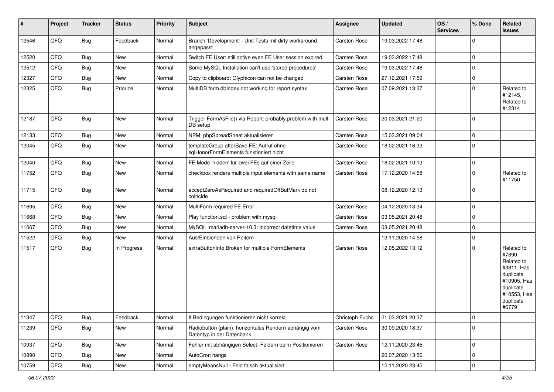| #     | Project | <b>Tracker</b> | <b>Status</b> | <b>Priority</b> | <b>Subject</b>                                                                      | <b>Assignee</b> | <b>Updated</b>   | OS/<br><b>Services</b> | % Done      | Related<br>issues                                                                                                              |
|-------|---------|----------------|---------------|-----------------|-------------------------------------------------------------------------------------|-----------------|------------------|------------------------|-------------|--------------------------------------------------------------------------------------------------------------------------------|
| 12546 | QFQ     | Bug            | Feedback      | Normal          | Branch 'Development' - Unit Tests mit dirty workaround<br>angepasst                 | Carsten Rose    | 19.03.2022 17:48 |                        | $\Omega$    |                                                                                                                                |
| 12520 | QFQ     | Bug            | <b>New</b>    | Normal          | Switch FE User: still active even FE User session expired                           | Carsten Rose    | 19.03.2022 17:48 |                        | $\mathbf 0$ |                                                                                                                                |
| 12512 | QFQ     | <b>Bug</b>     | New           | Normal          | Some MySQL Installation can't use 'stored procedures'                               | Carsten Rose    | 19.03.2022 17:48 |                        | $\mathbf 0$ |                                                                                                                                |
| 12327 | QFQ     | <b>Bug</b>     | New           | Normal          | Copy to clipboard: Glyphicon can not be changed                                     | Carsten Rose    | 27.12.2021 17:59 |                        | $\mathbf 0$ |                                                                                                                                |
| 12325 | QFQ     | Bug            | Priorize      | Normal          | MultiDB form.dblndex not working for report syntax                                  | Carsten Rose    | 07.09.2021 13:37 |                        | l O         | Related to<br>#12145,<br>Related to<br>#12314                                                                                  |
| 12187 | QFQ     | Bug            | New           | Normal          | Trigger FormAsFile() via Report: probably problem with multi<br>DB setup            | Carsten Rose    | 20.03.2021 21:20 |                        | l O         |                                                                                                                                |
| 12133 | QFQ     | <b>Bug</b>     | <b>New</b>    | Normal          | NPM, phpSpreadSheet aktualisieren                                                   | Carsten Rose    | 15.03.2021 09:04 |                        | $\mathbf 0$ |                                                                                                                                |
| 12045 | QFQ     | Bug            | New           | Normal          | templateGroup afterSave FE: Aufruf ohne<br>sqlHonorFormElements funktioniert nicht  | Carsten Rose    | 18.02.2021 16:33 |                        | l O         |                                                                                                                                |
| 12040 | QFQ     | <b>Bug</b>     | New           | Normal          | FE Mode 'hidden' für zwei FEs auf einer Zeile                                       | Carsten Rose    | 18.02.2021 10:13 |                        | $\mathbf 0$ |                                                                                                                                |
| 11752 | QFQ     | Bug            | New           | Normal          | checkbox renders multiple input elements with same name                             | Carsten Rose    | 17.12.2020 14:58 |                        | $\Omega$    | Related to<br>#11750                                                                                                           |
| 11715 | QFQ     | <b>Bug</b>     | New           | Normal          | acceptZeroAsRequired and requiredOffButMark do not<br>coincide                      |                 | 08.12.2020 12:13 |                        | l O         |                                                                                                                                |
| 11695 | QFQ     | <b>Bug</b>     | <b>New</b>    | Normal          | MultiForm required FE Error                                                         | Carsten Rose    | 04.12.2020 13:34 |                        | l 0         |                                                                                                                                |
| 11668 | QFQ     | Bug            | New           | Normal          | Play function.sql - problem with mysql                                              | Carsten Rose    | 03.05.2021 20:48 |                        | $\mathbf 0$ |                                                                                                                                |
| 11667 | QFQ     | Bug            | New           | Normal          | MySQL mariadb-server-10.3: Incorrect datetime value                                 | Carsten Rose    | 03.05.2021 20:48 |                        | $\Omega$    |                                                                                                                                |
| 11522 | QFQ     | <b>Bug</b>     | New           | Normal          | Aus/Einblenden von Reitern                                                          |                 | 13.11.2020 14:58 |                        | $\mathbf 0$ |                                                                                                                                |
| 11517 | QFQ     | <b>Bug</b>     | In Progress   | Normal          | extraButtonInfo Broken for multiple FormElements                                    | Carsten Rose    | 12.05.2022 13:12 |                        | $\Omega$    | Related to<br>#7890,<br>Related to<br>#3811, Has<br>duplicate<br>#10905, Has<br>duplicate<br>#10553, Has<br>duplicate<br>#6779 |
| 11347 | QFQ     | Bug            | Feedback      | Normal          | If Bedingungen funktionieren nicht korrekt                                          | Christoph Fuchs | 21.03.2021 20:37 |                        | 0           |                                                                                                                                |
| 11239 | QFQ     | <b>Bug</b>     | New           | Normal          | Radiobutton (plain): horizontales Rendern abhängig vom<br>Datentyp in der Datenbank | Carsten Rose    | 30.09.2020 18:37 |                        | l o         |                                                                                                                                |
| 10937 | QFQ     | i Bug          | New           | Normal          | Fehler mit abhängigen Select- Feldern beim Positionieren                            | Carsten Rose    | 12.11.2020 23:45 |                        | l O         |                                                                                                                                |
| 10890 | QFQ     | <b>Bug</b>     | New           | Normal          | AutoCron hangs                                                                      |                 | 20.07.2020 13:56 |                        | 0           |                                                                                                                                |
| 10759 | QFQ     | Bug            | New           | Normal          | emptyMeansNull - Feld falsch aktualisiert                                           |                 | 12.11.2020 23:45 |                        | l o         |                                                                                                                                |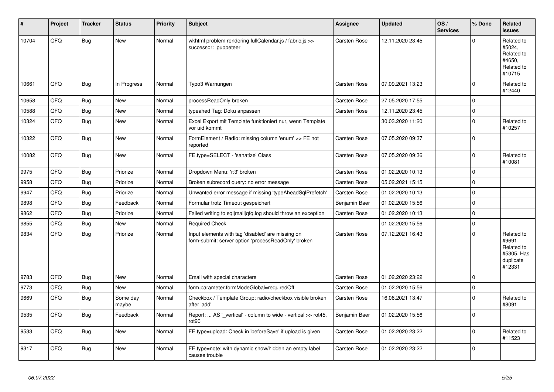| #     | Project | <b>Tracker</b> | <b>Status</b>     | <b>Priority</b> | <b>Subject</b>                                                                                           | Assignee            | <b>Updated</b>   | OS/<br><b>Services</b> | % Done         | Related<br><b>issues</b>                                                |
|-------|---------|----------------|-------------------|-----------------|----------------------------------------------------------------------------------------------------------|---------------------|------------------|------------------------|----------------|-------------------------------------------------------------------------|
| 10704 | QFQ     | Bug            | <b>New</b>        | Normal          | wkhtml problem rendering fullCalendar.js / fabric.js >><br>successor: puppeteer                          | Carsten Rose        | 12.11.2020 23:45 |                        | $\Omega$       | Related to<br>#5024,<br>Related to<br>#4650,<br>Related to<br>#10715    |
| 10661 | QFQ     | Bug            | In Progress       | Normal          | Typo3 Warnungen                                                                                          | Carsten Rose        | 07.09.2021 13:23 |                        | $\Omega$       | Related to<br>#12440                                                    |
| 10658 | QFQ     | Bug            | <b>New</b>        | Normal          | processReadOnly broken                                                                                   | <b>Carsten Rose</b> | 27.05.2020 17:55 |                        | $\Omega$       |                                                                         |
| 10588 | QFQ     | Bug            | <b>New</b>        | Normal          | typeahed Tag: Doku anpassen                                                                              | Carsten Rose        | 12.11.2020 23:45 |                        | $\mathbf 0$    |                                                                         |
| 10324 | QFQ     | <b>Bug</b>     | New               | Normal          | Excel Export mit Template funktioniert nur, wenn Template<br>vor uid kommt                               |                     | 30.03.2020 11:20 |                        | $\Omega$       | Related to<br>#10257                                                    |
| 10322 | QFQ     | <b>Bug</b>     | <b>New</b>        | Normal          | FormElement / Radio: missing column 'enum' >> FE not<br>reported                                         | Carsten Rose        | 07.05.2020 09:37 |                        | $\overline{0}$ |                                                                         |
| 10082 | QFQ     | <b>Bug</b>     | <b>New</b>        | Normal          | FE.type=SELECT - 'sanatize' Class                                                                        | <b>Carsten Rose</b> | 07.05.2020 09:36 |                        | $\overline{0}$ | Related to<br>#10081                                                    |
| 9975  | QFQ     | <b>Bug</b>     | Priorize          | Normal          | Dropdown Menu: 'r:3' broken                                                                              | <b>Carsten Rose</b> | 01.02.2020 10:13 |                        | $\Omega$       |                                                                         |
| 9958  | QFQ     | Bug            | Priorize          | Normal          | Broken subrecord query: no error message                                                                 | Carsten Rose        | 05.02.2021 15:15 |                        | $\overline{0}$ |                                                                         |
| 9947  | QFQ     | Bug            | Priorize          | Normal          | Unwanted error message if missing 'typeAheadSqlPrefetch'                                                 | Carsten Rose        | 01.02.2020 10:13 |                        | $\overline{0}$ |                                                                         |
| 9898  | QFQ     | Bug            | Feedback          | Normal          | Formular trotz Timeout gespeichert                                                                       | Benjamin Baer       | 01.02.2020 15:56 |                        | 0              |                                                                         |
| 9862  | QFQ     | <b>Bug</b>     | Priorize          | Normal          | Failed writing to sql mail qfq.log should throw an exception                                             | Carsten Rose        | 01.02.2020 10:13 |                        | $\overline{0}$ |                                                                         |
| 9855  | QFQ     | <b>Bug</b>     | <b>New</b>        | Normal          | <b>Required Check</b>                                                                                    |                     | 01.02.2020 15:56 |                        | $\overline{0}$ |                                                                         |
| 9834  | QFQ     | Bug            | Priorize          | Normal          | Input elements with tag 'disabled' are missing on<br>form-submit: server option 'processReadOnly' broken | <b>Carsten Rose</b> | 07.12.2021 16:43 |                        | $\Omega$       | Related to<br>#9691,<br>Related to<br>#5305, Has<br>duplicate<br>#12331 |
| 9783  | QFQ     | <b>Bug</b>     | <b>New</b>        | Normal          | Email with special characters                                                                            | <b>Carsten Rose</b> | 01.02.2020 23:22 |                        | $\Omega$       |                                                                         |
| 9773  | QFQ     | <b>Bug</b>     | <b>New</b>        | Normal          | form.parameter.formModeGlobal=requiredOff                                                                | Carsten Rose        | 01.02.2020 15:56 |                        | 0              |                                                                         |
| 9669  | QFQ     | <b>Bug</b>     | Some day<br>maybe | Normal          | Checkbox / Template Group: radio/checkbox visible broken<br>after 'add'                                  | Carsten Rose        | 16.06.2021 13:47 |                        | $\overline{0}$ | Related to<br>#8091                                                     |
| 9535  | QFQ     | Bug            | Feedback          | Normal          | Report:  AS ' vertical' - column to wide - vertical >> rot45,<br>rot <sub>90</sub>                       | Benjamin Baer       | 01.02.2020 15:56 |                        | l 0            |                                                                         |
| 9533  | QFQ     | Bug            | New               | Normal          | FE.type=upload: Check in 'beforeSave' if upload is given                                                 | Carsten Rose        | 01.02.2020 23:22 |                        | $\Omega$       | Related to<br>#11523                                                    |
| 9317  | QFQ     | Bug            | <b>New</b>        | Normal          | FE.type=note: with dynamic show/hidden an empty label<br>causes trouble                                  | Carsten Rose        | 01.02.2020 23:22 |                        | $\Omega$       |                                                                         |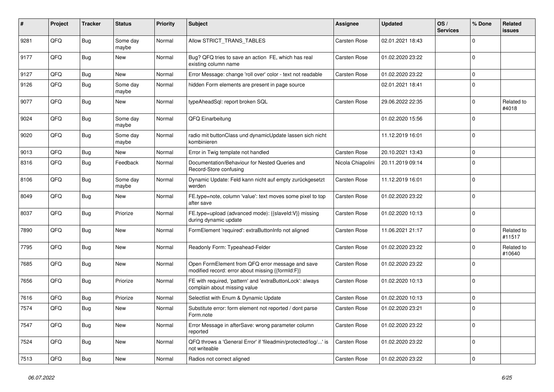| #    | Project | <b>Tracker</b> | <b>Status</b>     | <b>Priority</b> | Subject                                                                                               | <b>Assignee</b>     | <b>Updated</b>   | OS/<br><b>Services</b> | % Done       | Related<br>issues    |
|------|---------|----------------|-------------------|-----------------|-------------------------------------------------------------------------------------------------------|---------------------|------------------|------------------------|--------------|----------------------|
| 9281 | QFQ     | Bug            | Some day<br>maybe | Normal          | Allow STRICT TRANS TABLES                                                                             | <b>Carsten Rose</b> | 02.01.2021 18:43 |                        | 0            |                      |
| 9177 | QFQ     | <b>Bug</b>     | New               | Normal          | Bug? QFQ tries to save an action FE, which has real<br>existing column name                           | Carsten Rose        | 01.02.2020 23:22 |                        | $\Omega$     |                      |
| 9127 | QFQ     | <b>Bug</b>     | <b>New</b>        | Normal          | Error Message: change 'roll over' color - text not readable                                           | Carsten Rose        | 01.02.2020 23:22 |                        | 0            |                      |
| 9126 | QFQ     | Bug            | Some day<br>maybe | Normal          | hidden Form elements are present in page source                                                       |                     | 02.01.2021 18:41 |                        | $\Omega$     |                      |
| 9077 | QFQ     | Bug            | <b>New</b>        | Normal          | typeAheadSql: report broken SQL                                                                       | Carsten Rose        | 29.06.2022 22:35 |                        | <sup>0</sup> | Related to<br>#4018  |
| 9024 | QFQ     | Bug            | Some day<br>maybe | Normal          | QFQ Einarbeitung                                                                                      |                     | 01.02.2020 15:56 |                        | $\Omega$     |                      |
| 9020 | QFQ     | <b>Bug</b>     | Some day<br>maybe | Normal          | radio mit buttonClass und dynamicUpdate lassen sich nicht<br>kombinieren                              |                     | 11.12.2019 16:01 |                        | $\mathbf 0$  |                      |
| 9013 | QFQ     | <b>Bug</b>     | <b>New</b>        | Normal          | Error in Twig template not handled                                                                    | Carsten Rose        | 20.10.2021 13:43 |                        | $\mathbf 0$  |                      |
| 8316 | QFQ     | <b>Bug</b>     | Feedback          | Normal          | Documentation/Behaviour for Nested Queries and<br>Record-Store confusing                              | Nicola Chiapolini   | 20.11.2019 09:14 |                        | $\Omega$     |                      |
| 8106 | QFQ     | Bug            | Some day<br>maybe | Normal          | Dynamic Update: Feld kann nicht auf empty zurückgesetzt<br>werden                                     | Carsten Rose        | 11.12.2019 16:01 |                        | $\Omega$     |                      |
| 8049 | QFQ     | Bug            | New               | Normal          | FE.type=note, column 'value': text moves some pixel to top<br>after save                              | Carsten Rose        | 01.02.2020 23:22 |                        | $\Omega$     |                      |
| 8037 | QFQ     | Bug            | Priorize          | Normal          | FE.type=upload (advanced mode): {{slaveld:V}} missing<br>during dynamic update                        | Carsten Rose        | 01.02.2020 10:13 |                        | $\mathbf 0$  |                      |
| 7890 | QFQ     | <b>Bug</b>     | <b>New</b>        | Normal          | FormElement 'required': extraButtonInfo not aligned                                                   | Carsten Rose        | 11.06.2021 21:17 |                        | 0            | Related to<br>#11517 |
| 7795 | QFQ     | Bug            | <b>New</b>        | Normal          | Readonly Form: Typeahead-Felder                                                                       | Carsten Rose        | 01.02.2020 23:22 |                        | 0            | Related to<br>#10640 |
| 7685 | QFQ     | <b>Bug</b>     | New               | Normal          | Open FormElement from QFQ error message and save<br>modified record: error about missing {{formId:F}} | Carsten Rose        | 01.02.2020 23:22 |                        | 0            |                      |
| 7656 | QFQ     | <b>Bug</b>     | Priorize          | Normal          | FE with required, 'pattern' and 'extraButtonLock': always<br>complain about missing value             | Carsten Rose        | 01.02.2020 10:13 |                        | $\Omega$     |                      |
| 7616 | QFQ     | <b>Bug</b>     | Priorize          | Normal          | Selectlist with Enum & Dynamic Update                                                                 | Carsten Rose        | 01.02.2020 10:13 |                        | $\mathbf 0$  |                      |
| 7574 | QFQ     | <b>Bug</b>     | New               | Normal          | Substitute error: form element not reported / dont parse<br>Form.note                                 | Carsten Rose        | 01.02.2020 23:21 |                        | 0            |                      |
| 7547 | QFQ     | Bug            | New               | Normal          | Error Message in afterSave: wrong parameter column<br>reported                                        | Carsten Rose        | 01.02.2020 23:22 |                        | $\mathbf 0$  |                      |
| 7524 | QFQ     | Bug            | New               | Normal          | QFQ throws a 'General Error' if 'fileadmin/protected/log/' is<br>not writeable                        | Carsten Rose        | 01.02.2020 23:22 |                        | $\mathbf 0$  |                      |
| 7513 | QFQ     | <b>Bug</b>     | New               | Normal          | Radios not correct aligned                                                                            | Carsten Rose        | 01.02.2020 23:22 |                        | 0            |                      |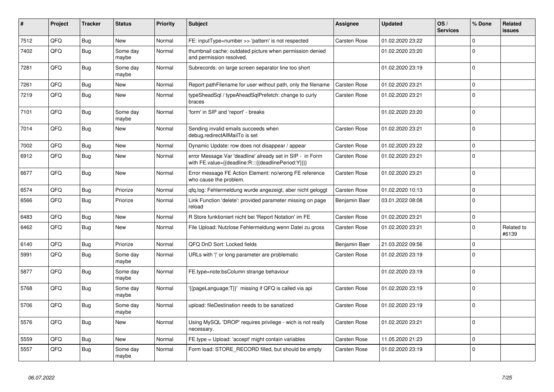| #    | Project | <b>Tracker</b> | <b>Status</b>     | <b>Priority</b> | <b>Subject</b>                                                                                                   | Assignee            | <b>Updated</b>   | OS/<br><b>Services</b> | % Done         | Related<br>issues   |
|------|---------|----------------|-------------------|-----------------|------------------------------------------------------------------------------------------------------------------|---------------------|------------------|------------------------|----------------|---------------------|
| 7512 | QFQ     | Bug            | <b>New</b>        | Normal          | FE: inputType=number >> 'pattern' is not respected                                                               | Carsten Rose        | 01.02.2020 23:22 |                        | $\Omega$       |                     |
| 7402 | QFQ     | Bug            | Some day<br>maybe | Normal          | thumbnail cache: outdated picture when permission denied<br>and permission resolved.                             |                     | 01.02.2020 23:20 |                        | $\Omega$       |                     |
| 7281 | QFQ     | <b>Bug</b>     | Some day<br>maybe | Normal          | Subrecords: on large screen separator line too short                                                             |                     | 01.02.2020 23:19 |                        | l O            |                     |
| 7261 | QFQ     | Bug            | <b>New</b>        | Normal          | Report pathFilename for user without path, only the filename                                                     | Carsten Rose        | 01.02.2020 23:21 |                        | $\mathbf 0$    |                     |
| 7219 | QFQ     | Bug            | New               | Normal          | typeSheadSql / typeAheadSqlPrefetch: change to curly<br>braces                                                   | <b>Carsten Rose</b> | 01.02.2020 23:21 |                        | $\Omega$       |                     |
| 7101 | QFQ     | <b>Bug</b>     | Some day<br>maybe | Normal          | 'form' in SIP and 'report' - breaks                                                                              |                     | 01.02.2020 23:20 |                        | $\Omega$       |                     |
| 7014 | QFQ     | Bug            | <b>New</b>        | Normal          | Sending invalid emails succeeds when<br>debug.redirectAllMailTo is set                                           | Carsten Rose        | 01.02.2020 23:21 |                        | $\Omega$       |                     |
| 7002 | QFQ     | <b>Bug</b>     | <b>New</b>        | Normal          | Dynamic Update: row does not disappear / appear                                                                  | Carsten Rose        | 01.02.2020 23:22 |                        | $\Omega$       |                     |
| 6912 | QFQ     | <b>Bug</b>     | New               | Normal          | error Message Var 'deadline' already set in SIP - in Form<br>with FE.value={{deadline:R:::{{deadlinePeriod:Y}}}} | Carsten Rose        | 01.02.2020 23:21 |                        | $\Omega$       |                     |
| 6677 | QFQ     | Bug            | New               | Normal          | Error message FE Action Element: no/wrong FE reference<br>who cause the problem.                                 | <b>Carsten Rose</b> | 01.02.2020 23:21 |                        | $\Omega$       |                     |
| 6574 | QFQ     | Bug            | Priorize          | Normal          | qfq.log: Fehlermeldung wurde angezeigt, aber nicht geloggt                                                       | Carsten Rose        | 01.02.2020 10:13 |                        | $\Omega$       |                     |
| 6566 | QFQ     | Bug            | Priorize          | Normal          | Link Function 'delete': provided parameter missing on page<br>reload                                             | Benjamin Baer       | 03.01.2022 08:08 |                        | $\overline{0}$ |                     |
| 6483 | QFQ     | <b>Bug</b>     | <b>New</b>        | Normal          | R Store funktioniert nicht bei 'Report Notation' im FE                                                           | <b>Carsten Rose</b> | 01.02.2020 23:21 |                        | $\mathbf 0$    |                     |
| 6462 | QFQ     | Bug            | <b>New</b>        | Normal          | File Upload: Nutzlose Fehlermeldung wenn Datei zu gross                                                          | Carsten Rose        | 01.02.2020 23:21 |                        | $\Omega$       | Related to<br>#6139 |
| 6140 | QFQ     | <b>Bug</b>     | Priorize          | Normal          | QFQ DnD Sort: Locked fields                                                                                      | Benjamin Baer       | 21.03.2022 09:56 |                        | $\mathbf 0$    |                     |
| 5991 | QFQ     | Bug            | Some day<br>maybe | Normal          | URLs with ' ' or long parameter are problematic                                                                  | Carsten Rose        | 01.02.2020 23:19 |                        | $\Omega$       |                     |
| 5877 | QFQ     | Bug            | Some day<br>maybe | Normal          | FE.type=note:bsColumn strange behaviour                                                                          |                     | 01.02.2020 23:19 |                        | $\Omega$       |                     |
| 5768 | QFQ     | Bug            | Some day<br>maybe | Normal          | {{pageLanguage:T}}' missing if QFQ is called via api                                                             | Carsten Rose        | 01.02.2020 23:19 |                        | $\overline{0}$ |                     |
| 5706 | QFQ     | <b>Bug</b>     | Some day<br>maybe | Normal          | upload: fileDestination needs to be sanatized                                                                    | <b>Carsten Rose</b> | 01.02.2020 23:19 |                        | $\Omega$       |                     |
| 5576 | QFQ     | Bug            | New               | Normal          | Using MySQL 'DROP' requires privilege - wich is not really<br>necessary.                                         | <b>Carsten Rose</b> | 01.02.2020 23:21 |                        | $\Omega$       |                     |
| 5559 | QFQ     | Bug            | <b>New</b>        | Normal          | FE.type = Upload: 'accept' might contain variables                                                               | Carsten Rose        | 11.05.2020 21:23 |                        | $\overline{0}$ |                     |
| 5557 | QFQ     | <b>Bug</b>     | Some day<br>maybe | Normal          | Form load: STORE_RECORD filled, but should be empty                                                              | Carsten Rose        | 01.02.2020 23:19 |                        | $\overline{0}$ |                     |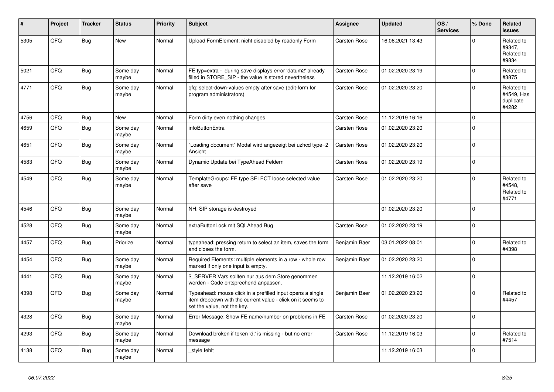| #    | Project | <b>Tracker</b> | <b>Status</b>     | <b>Priority</b> | <b>Subject</b>                                                                                                                                           | <b>Assignee</b> | <b>Updated</b>   | OS/<br><b>Services</b> | % Done      | Related<br><b>issues</b>                       |
|------|---------|----------------|-------------------|-----------------|----------------------------------------------------------------------------------------------------------------------------------------------------------|-----------------|------------------|------------------------|-------------|------------------------------------------------|
| 5305 | QFQ     | <b>Bug</b>     | <b>New</b>        | Normal          | Upload FormElement: nicht disabled by readonly Form                                                                                                      | Carsten Rose    | 16.06.2021 13:43 |                        | $\Omega$    | Related to<br>#9347,<br>Related to<br>#9834    |
| 5021 | QFQ     | Bug            | Some day<br>maybe | Normal          | FE.typ=extra - during save displays error 'datum2' already<br>filled in STORE SIP - the value is stored nevertheless                                     | Carsten Rose    | 01.02.2020 23:19 |                        | $\mathbf 0$ | Related to<br>#3875                            |
| 4771 | QFQ     | <b>Bug</b>     | Some day<br>maybe | Normal          | qfq: select-down-values empty after save (edit-form for<br>program administrators)                                                                       | Carsten Rose    | 01.02.2020 23:20 |                        | $\mathbf 0$ | Related to<br>#4549, Has<br>duplicate<br>#4282 |
| 4756 | QFQ     | Bug            | <b>New</b>        | Normal          | Form dirty even nothing changes                                                                                                                          | Carsten Rose    | 11.12.2019 16:16 |                        | $\mathbf 0$ |                                                |
| 4659 | QFQ     | <b>Bug</b>     | Some day<br>maybe | Normal          | infoButtonExtra                                                                                                                                          | Carsten Rose    | 01.02.2020 23:20 |                        | $\mathbf 0$ |                                                |
| 4651 | QFQ     | <b>Bug</b>     | Some day<br>maybe | Normal          | 'Loading document" Modal wird angezeigt bei uzhcd type=2<br>Ansicht                                                                                      | Carsten Rose    | 01.02.2020 23:20 |                        | $\mathbf 0$ |                                                |
| 4583 | QFQ     | Bug            | Some day<br>maybe | Normal          | Dynamic Update bei TypeAhead Feldern                                                                                                                     | Carsten Rose    | 01.02.2020 23:19 |                        | $\mathbf 0$ |                                                |
| 4549 | QFQ     | <b>Bug</b>     | Some day<br>maybe | Normal          | TemplateGroups: FE.type SELECT loose selected value<br>after save                                                                                        | Carsten Rose    | 01.02.2020 23:20 |                        | $\Omega$    | Related to<br>#4548.<br>Related to<br>#4771    |
| 4546 | QFQ     | <b>Bug</b>     | Some day<br>maybe | Normal          | NH: SIP storage is destroyed                                                                                                                             |                 | 01.02.2020 23:20 |                        | $\Omega$    |                                                |
| 4528 | QFQ     | <b>Bug</b>     | Some day<br>maybe | Normal          | extraButtonLock mit SQLAhead Bug                                                                                                                         | Carsten Rose    | 01.02.2020 23:19 |                        | $\mathbf 0$ |                                                |
| 4457 | QFQ     | <b>Bug</b>     | Priorize          | Normal          | typeahead: pressing return to select an item, saves the form<br>and closes the form.                                                                     | Benjamin Baer   | 03.01.2022 08:01 |                        | $\Omega$    | Related to<br>#4398                            |
| 4454 | QFQ     | <b>Bug</b>     | Some day<br>maybe | Normal          | Required Elements: multiple elements in a row - whole row<br>marked if only one input is empty.                                                          | Benjamin Baer   | 01.02.2020 23:20 |                        | $\Omega$    |                                                |
| 4441 | QFQ     | <b>Bug</b>     | Some day<br>maybe | Normal          | \$_SERVER Vars sollten nur aus dem Store genommen<br>werden - Code entsprechend anpassen.                                                                |                 | 11.12.2019 16:02 |                        | $\mathbf 0$ |                                                |
| 4398 | QFQ     | <b>Bug</b>     | Some day<br>maybe | Normal          | Typeahead: mouse click in a prefilled input opens a single<br>item dropdown with the current value - click on it seems to<br>set the value, not the key. | Benjamin Baer   | 01.02.2020 23:20 |                        | $\Omega$    | Related to<br>#4457                            |
| 4328 | QFQ     | <b>Bug</b>     | Some day<br>maybe | Normal          | Error Message: Show FE name/number on problems in FE                                                                                                     | Carsten Rose    | 01.02.2020 23:20 |                        | $\mathbf 0$ |                                                |
| 4293 | QFQ     | Bug            | Some day<br>maybe | Normal          | Download broken if token 'd:' is missing - but no error<br>message                                                                                       | Carsten Rose    | 11.12.2019 16:03 |                        | $\mathbf 0$ | Related to<br>#7514                            |
| 4138 | QFQ     | <b>Bug</b>     | Some day<br>maybe | Normal          | _style fehlt                                                                                                                                             |                 | 11.12.2019 16:03 |                        | $\Omega$    |                                                |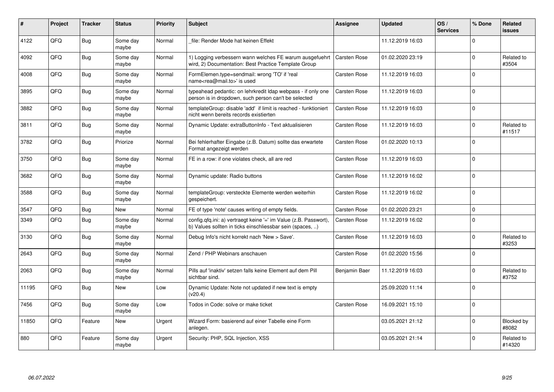| ∦     | Project | <b>Tracker</b> | <b>Status</b>     | <b>Priority</b> | <b>Subject</b>                                                                                                                | <b>Assignee</b>     | <b>Updated</b>   | OS/<br><b>Services</b> | % Done      | Related<br><b>issues</b> |
|-------|---------|----------------|-------------------|-----------------|-------------------------------------------------------------------------------------------------------------------------------|---------------------|------------------|------------------------|-------------|--------------------------|
| 4122  | QFQ     | <b>Bug</b>     | Some day<br>maybe | Normal          | file: Render Mode hat keinen Effekt                                                                                           |                     | 11.12.2019 16:03 |                        | $\Omega$    |                          |
| 4092  | QFQ     | <b>Bug</b>     | Some day<br>maybe | Normal          | 1) Logging verbessern wann welches FE warum ausgefuehrt<br>wird, 2) Documentation: Best Practice Template Group               | <b>Carsten Rose</b> | 01.02.2020 23:19 |                        | $\Omega$    | Related to<br>#3504      |
| 4008  | QFQ     | <b>Bug</b>     | Some day<br>maybe | Normal          | FormElemen.type=sendmail: wrong 'TO' if 'real<br>name <rea@mail.to>' is used</rea@mail.to>                                    | Carsten Rose        | 11.12.2019 16:03 |                        | $\mathbf 0$ |                          |
| 3895  | QFQ     | <b>Bug</b>     | Some day<br>maybe | Normal          | typeahead pedantic: on lehrkredit Idap webpass - if only one<br>person is in dropdown, such person can't be selected          | Carsten Rose        | 11.12.2019 16:03 |                        | $\Omega$    |                          |
| 3882  | QFQ     | <b>Bug</b>     | Some day<br>maybe | Normal          | templateGroup: disable 'add' if limit is reached - funktioniert<br>nicht wenn bereits records existierten                     | Carsten Rose        | 11.12.2019 16:03 |                        | $\Omega$    |                          |
| 3811  | QFQ     | <b>Bug</b>     | Some day<br>maybe | Normal          | Dynamic Update: extraButtonInfo - Text aktualisieren                                                                          | Carsten Rose        | 11.12.2019 16:03 |                        | $\Omega$    | Related to<br>#11517     |
| 3782  | QFQ     | Bug            | Priorize          | Normal          | Bei fehlerhafter Eingabe (z.B. Datum) sollte das erwartete<br>Format angezeigt werden                                         | Carsten Rose        | 01.02.2020 10:13 |                        | $\Omega$    |                          |
| 3750  | QFQ     | <b>Bug</b>     | Some day<br>maybe | Normal          | FE in a row: if one violates check, all are red                                                                               | Carsten Rose        | 11.12.2019 16:03 |                        | ۱o          |                          |
| 3682  | QFQ     | Bug            | Some day<br>maybe | Normal          | Dynamic update: Radio buttons                                                                                                 | Carsten Rose        | 11.12.2019 16:02 |                        | $\Omega$    |                          |
| 3588  | QFQ     | Bug            | Some day<br>maybe | Normal          | templateGroup: versteckte Elemente werden weiterhin<br>gespeichert.                                                           | Carsten Rose        | 11.12.2019 16:02 |                        | $\Omega$    |                          |
| 3547  | QFQ     | <b>Bug</b>     | <b>New</b>        | Normal          | FE of type 'note' causes writing of empty fields.                                                                             | Carsten Rose        | 01.02.2020 23:21 |                        | $\Omega$    |                          |
| 3349  | QFQ     | <b>Bug</b>     | Some day<br>maybe | Normal          | config.qfq.ini: a) vertraegt keine '=' im Value (z.B. Passwort),<br>b) Values sollten in ticks einschliessbar sein (spaces, ) | Carsten Rose        | 11.12.2019 16:02 |                        | $\Omega$    |                          |
| 3130  | QFQ     | <b>Bug</b>     | Some day<br>maybe | Normal          | Debug Info's nicht korrekt nach 'New > Save'.                                                                                 | Carsten Rose        | 11.12.2019 16:03 |                        | $\Omega$    | Related to<br>#3253      |
| 2643  | QFQ     | <b>Bug</b>     | Some day<br>maybe | Normal          | Zend / PHP Webinars anschauen                                                                                                 | Carsten Rose        | 01.02.2020 15:56 |                        | $\Omega$    |                          |
| 2063  | QFQ     | <b>Bug</b>     | Some day<br>maybe | Normal          | Pills auf 'inaktiv' setzen falls keine Element auf dem Pill<br>sichtbar sind.                                                 | Benjamin Baer       | 11.12.2019 16:03 |                        | $\Omega$    | Related to<br>#3752      |
| 11195 | QFQ     | <b>Bug</b>     | <b>New</b>        | Low             | Dynamic Update: Note not updated if new text is empty<br>(v20.4)                                                              |                     | 25.09.2020 11:14 |                        | $\Omega$    |                          |
| 7456  | QFQ     | <b>Bug</b>     | Some day<br>maybe | Low             | Todos in Code: solve or make ticket                                                                                           | Carsten Rose        | 16.09.2021 15:10 |                        | $\mathbf 0$ |                          |
| 11850 | QFQ     | Feature        | <b>New</b>        | Urgent          | Wizard Form: basierend auf einer Tabelle eine Form<br>anlegen.                                                                |                     | 03.05.2021 21:12 |                        | $\Omega$    | Blocked by<br>#8082      |
| 880   | QFQ     | Feature        | Some day<br>maybe | Urgent          | Security: PHP, SQL Injection, XSS                                                                                             |                     | 03.05.2021 21:14 |                        | $\Omega$    | Related to<br>#14320     |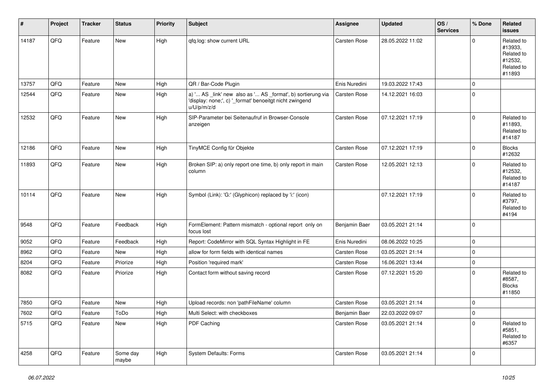| $\sharp$ | Project | <b>Tracker</b> | <b>Status</b>     | <b>Priority</b> | <b>Subject</b>                                                                                                                        | Assignee      | Updated          | OS/<br><b>Services</b> | % Done      | Related<br>issues                                                      |
|----------|---------|----------------|-------------------|-----------------|---------------------------------------------------------------------------------------------------------------------------------------|---------------|------------------|------------------------|-------------|------------------------------------------------------------------------|
| 14187    | QFQ     | Feature        | <b>New</b>        | High            | qfq.log: show current URL                                                                                                             | Carsten Rose  | 28.05.2022 11:02 |                        | $\Omega$    | Related to<br>#13933,<br>Related to<br>#12532,<br>Related to<br>#11893 |
| 13757    | QFQ     | Feature        | <b>New</b>        | High            | QR / Bar-Code Plugin                                                                                                                  | Enis Nuredini | 19.03.2022 17:43 |                        | $\mathbf 0$ |                                                                        |
| 12544    | QFQ     | Feature        | <b>New</b>        | High            | a) ' AS _link' new also as ' AS _format', b) sortierung via<br>'display: none;', c) '_format' benoeitgt nicht zwingend<br>u/U/p/m/z/d | Carsten Rose  | 14.12.2021 16:03 |                        | $\mathbf 0$ |                                                                        |
| 12532    | QFQ     | Feature        | New               | High            | SIP-Parameter bei Seitenaufruf in Browser-Console<br>anzeigen                                                                         | Carsten Rose  | 07.12.2021 17:19 |                        | $\mathbf 0$ | Related to<br>#11893,<br>Related to<br>#14187                          |
| 12186    | QFQ     | Feature        | <b>New</b>        | High            | TinyMCE Config für Objekte                                                                                                            | Carsten Rose  | 07.12.2021 17:19 |                        | $\mathbf 0$ | <b>Blocks</b><br>#12632                                                |
| 11893    | QFQ     | Feature        | New               | High            | Broken SIP: a) only report one time, b) only report in main<br>column                                                                 | Carsten Rose  | 12.05.2021 12:13 |                        | $\Omega$    | Related to<br>#12532,<br>Related to<br>#14187                          |
| 10114    | QFQ     | Feature        | <b>New</b>        | High            | Symbol (Link): 'G:' (Glyphicon) replaced by 'i:' (icon)                                                                               |               | 07.12.2021 17:19 |                        | $\mathbf 0$ | Related to<br>#3797,<br>Related to<br>#4194                            |
| 9548     | QFQ     | Feature        | Feedback          | High            | FormElement: Pattern mismatch - optional report only on<br>focus lost                                                                 | Benjamin Baer | 03.05.2021 21:14 |                        | $\mathbf 0$ |                                                                        |
| 9052     | QFQ     | Feature        | Feedback          | High            | Report: CodeMirror with SQL Syntax Highlight in FE                                                                                    | Enis Nuredini | 08.06.2022 10:25 |                        | $\mathbf 0$ |                                                                        |
| 8962     | QFQ     | Feature        | New               | High            | allow for form fields with identical names                                                                                            | Carsten Rose  | 03.05.2021 21:14 |                        | $\mathbf 0$ |                                                                        |
| 8204     | QFQ     | Feature        | Priorize          | High            | Position 'required mark'                                                                                                              | Carsten Rose  | 16.06.2021 13:44 |                        | $\mathbf 0$ |                                                                        |
| 8082     | QFQ     | Feature        | Priorize          | High            | Contact form without saving record                                                                                                    | Carsten Rose  | 07.12.2021 15:20 |                        | $\Omega$    | Related to<br>#8587,<br><b>Blocks</b><br>#11850                        |
| 7850     | QFQ     | Feature        | New               | High            | Upload records: non 'pathFileName' column                                                                                             | Carsten Rose  | 03.05.2021 21:14 |                        | $\mathbf 0$ |                                                                        |
| 7602     | QFG     | Feature        | ToDo              | High            | Multi Select: with checkboxes                                                                                                         | Benjamin Baer | 22.03.2022 09:07 |                        | 0           |                                                                        |
| 5715     | QFQ     | Feature        | New               | High            | PDF Caching                                                                                                                           | Carsten Rose  | 03.05.2021 21:14 |                        | $\Omega$    | Related to<br>#5851,<br>Related to<br>#6357                            |
| 4258     | QFQ     | Feature        | Some day<br>maybe | High            | System Defaults: Forms                                                                                                                | Carsten Rose  | 03.05.2021 21:14 |                        | $\mathbf 0$ |                                                                        |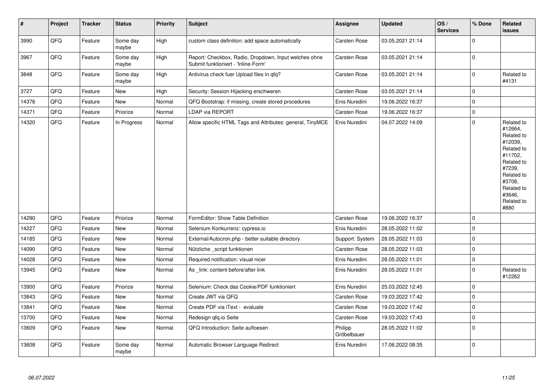| $\vert$ # | Project | <b>Tracker</b> | <b>Status</b>     | <b>Priority</b> | <b>Subject</b>                                                                               | Assignee               | <b>Updated</b>   | OS/<br><b>Services</b> | % Done         | Related<br>issues                                                                                                                                                     |
|-----------|---------|----------------|-------------------|-----------------|----------------------------------------------------------------------------------------------|------------------------|------------------|------------------------|----------------|-----------------------------------------------------------------------------------------------------------------------------------------------------------------------|
| 3990      | QFQ     | Feature        | Some day<br>maybe | High            | custom class definition: add space automatically                                             | Carsten Rose           | 03.05.2021 21:14 |                        | $\Omega$       |                                                                                                                                                                       |
| 3967      | QFQ     | Feature        | Some day<br>maybe | High            | Report: Checkbox, Radio, Dropdown, Input welches ohne<br>Submit funktioniert - 'Inline-Form' | Carsten Rose           | 03.05.2021 21:14 |                        | $\overline{0}$ |                                                                                                                                                                       |
| 3848      | QFO     | Feature        | Some day<br>maybe | High            | Antivirus check fuer Upload files in qfq?                                                    | Carsten Rose           | 03.05.2021 21:14 |                        | $\pmb{0}$      | Related to<br>#4131                                                                                                                                                   |
| 3727      | QFQ     | Feature        | <b>New</b>        | High            | Security: Session Hijacking erschweren                                                       | Carsten Rose           | 03.05.2021 21:14 |                        | $\mathbf 0$    |                                                                                                                                                                       |
| 14376     | QFQ     | Feature        | <b>New</b>        | Normal          | QFQ Bootstrap: if missing, create stored procedures                                          | Enis Nuredini          | 19.06.2022 16:37 |                        | $\mathbf 0$    |                                                                                                                                                                       |
| 14371     | QFQ     | Feature        | Priorize          | Normal          | <b>LDAP via REPORT</b>                                                                       | Carsten Rose           | 19.06.2022 16:37 |                        | $\mathbf 0$    |                                                                                                                                                                       |
| 14320     | QFQ     | Feature        | In Progress       | Normal          | Allow specific HTML Tags and Attributes: general, TinyMCE                                    | Enis Nuredini          | 04.07.2022 14:09 |                        | $\Omega$       | Related to<br>#12664,<br>Related to<br>#12039,<br>Related to<br>#11702,<br>Related to<br>#7239,<br>Related to<br>#3708,<br>Related to<br>#3646,<br>Related to<br>#880 |
| 14290     | QFQ     | Feature        | Priorize          | Normal          | FormEditor: Show Table Definition                                                            | Carsten Rose           | 19.06.2022 16:37 |                        | $\mathbf 0$    |                                                                                                                                                                       |
| 14227     | QFQ     | Feature        | <b>New</b>        | Normal          | Selenium Konkurrenz: cypress.io                                                              | Enis Nuredini          | 28.05.2022 11:02 |                        | $\mathbf 0$    |                                                                                                                                                                       |
| 14185     | QFQ     | Feature        | New               | Normal          | External/Autocron.php - better suitable directory                                            | Support: System        | 28.05.2022 11:03 |                        | $\mathbf 0$    |                                                                                                                                                                       |
| 14090     | QFQ     | Feature        | New               | Normal          | Nützliche _script funktionen                                                                 | Carsten Rose           | 28.05.2022 11:03 |                        | $\mathbf 0$    |                                                                                                                                                                       |
| 14028     | QFQ     | Feature        | <b>New</b>        | Normal          | Required notification: visual nicer                                                          | Enis Nuredini          | 28.05.2022 11:01 |                        | $\mathbf 0$    |                                                                                                                                                                       |
| 13945     | QFQ     | Feature        | <b>New</b>        | Normal          | As _link: content before/after link                                                          | Enis Nuredini          | 28.05.2022 11:01 |                        | $\Omega$       | Related to<br>#12262                                                                                                                                                  |
| 13900     | QFQ     | Feature        | Priorize          | Normal          | Selenium: Check das Cookie/PDF funktioniert                                                  | Enis Nuredini          | 25.03.2022 12:45 |                        | $\mathbf 0$    |                                                                                                                                                                       |
| 13843     | QFQ     | Feature        | <b>New</b>        | Normal          | Create JWT via QFQ                                                                           | Carsten Rose           | 19.03.2022 17:42 |                        | $\Omega$       |                                                                                                                                                                       |
| 13841     | QFQ     | Feature        | <b>New</b>        | Normal          | Create PDF via iText - evaluate                                                              | Carsten Rose           | 19.03.2022 17:42 |                        | l 0            |                                                                                                                                                                       |
| 13700     | QFQ     | Feature        | New               | Normal          | Redesign qfq.io Seite                                                                        | Carsten Rose           | 19.03.2022 17:43 |                        | $\mathbf 0$    |                                                                                                                                                                       |
| 13609     | QFQ     | Feature        | New               | Normal          | QFQ Introduction: Seite aufloesen                                                            | Philipp<br>Gröbelbauer | 28.05.2022 11:02 |                        | $\mathbf 0$    |                                                                                                                                                                       |
| 13608     | QFQ     | Feature        | Some day<br>maybe | Normal          | Automatic Browser Language Redirect                                                          | Enis Nuredini          | 17.06.2022 08:35 |                        | $\Omega$       |                                                                                                                                                                       |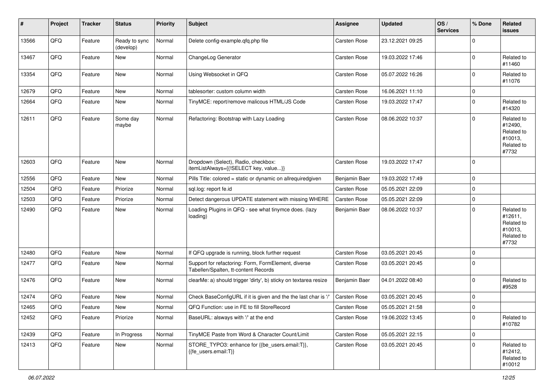| $\vert$ # | Project | <b>Tracker</b> | <b>Status</b>              | <b>Priority</b> | <b>Subject</b>                                                                              | <b>Assignee</b> | <b>Updated</b>   | OS/<br><b>Services</b> | % Done      | Related<br>issues                                                     |
|-----------|---------|----------------|----------------------------|-----------------|---------------------------------------------------------------------------------------------|-----------------|------------------|------------------------|-------------|-----------------------------------------------------------------------|
| 13566     | QFQ     | Feature        | Ready to sync<br>(develop) | Normal          | Delete config-example.qfq.php file                                                          | Carsten Rose    | 23.12.2021 09:25 |                        | $\Omega$    |                                                                       |
| 13467     | QFQ     | Feature        | New                        | Normal          | ChangeLog Generator                                                                         | Carsten Rose    | 19.03.2022 17:46 |                        | $\mathbf 0$ | Related to<br>#11460                                                  |
| 13354     | QFQ     | Feature        | <b>New</b>                 | Normal          | Using Websocket in QFQ                                                                      | Carsten Rose    | 05.07.2022 16:26 |                        | $\Omega$    | Related to<br>#11076                                                  |
| 12679     | QFQ     | Feature        | <b>New</b>                 | Normal          | tablesorter: custom column width                                                            | Carsten Rose    | 16.06.2021 11:10 |                        | 0           |                                                                       |
| 12664     | QFQ     | Feature        | <b>New</b>                 | Normal          | TinyMCE: report/remove malicous HTML/JS Code                                                | Carsten Rose    | 19.03.2022 17:47 |                        | $\Omega$    | Related to<br>#14320                                                  |
| 12611     | QFQ     | Feature        | Some day<br>maybe          | Normal          | Refactoring: Bootstrap with Lazy Loading                                                    | Carsten Rose    | 08.06.2022 10:37 |                        | $\Omega$    | Related to<br>#12490,<br>Related to<br>#10013,<br>Related to<br>#7732 |
| 12603     | QFQ     | Feature        | <b>New</b>                 | Normal          | Dropdown (Select), Radio, checkbox:<br>itemListAlways={{!SELECT key, value}}                | Carsten Rose    | 19.03.2022 17:47 |                        | 0           |                                                                       |
| 12556     | QFQ     | Feature        | New                        | Normal          | Pills Title: colored = static or dynamic on allrequiredgiven                                | Benjamin Baer   | 19.03.2022 17:49 |                        | $\mathbf 0$ |                                                                       |
| 12504     | QFQ     | Feature        | Priorize                   | Normal          | sgl.log: report fe.id                                                                       | Carsten Rose    | 05.05.2021 22:09 |                        | $\mathbf 0$ |                                                                       |
| 12503     | QFQ     | Feature        | Priorize                   | Normal          | Detect dangerous UPDATE statement with missing WHERE                                        | Carsten Rose    | 05.05.2021 22:09 |                        | $\mathbf 0$ |                                                                       |
| 12490     | QFQ     | Feature        | New                        | Normal          | Loading Plugins in QFQ - see what tinymce does. (lazy<br>loading)                           | Benjamin Baer   | 08.06.2022 10:37 |                        | 0           | Related to<br>#12611,<br>Related to<br>#10013,<br>Related to<br>#7732 |
| 12480     | QFQ     | Feature        | <b>New</b>                 | Normal          | If QFQ upgrade is running, block further request                                            | Carsten Rose    | 03.05.2021 20:45 |                        | $\mathbf 0$ |                                                                       |
| 12477     | QFQ     | Feature        | New                        | Normal          | Support for refactoring: Form, FormElement, diverse<br>Tabellen/Spalten, tt-content Records | Carsten Rose    | 03.05.2021 20:45 |                        | $\mathbf 0$ |                                                                       |
| 12476     | QFQ     | Feature        | <b>New</b>                 | Normal          | clearMe: a) should trigger 'dirty', b) sticky on textarea resize                            | Benjamin Baer   | 04.01.2022 08:40 |                        | $\mathbf 0$ | Related to<br>#9528                                                   |
| 12474     | QFQ     | Feature        | <b>New</b>                 | Normal          | Check BaseConfigURL if it is given and the the last char is '/'                             | Carsten Rose    | 03.05.2021 20:45 |                        | $\mathbf 0$ |                                                                       |
| 12465     | QFQ     | Feature        | New                        | Normal          | QFQ Function: use in FE to fill StoreRecord                                                 | Carsten Rose    | 05.05.2021 21:58 |                        | $\mathbf 0$ |                                                                       |
| 12452     | QFQ     | Feature        | Priorize                   | Normal          | BaseURL: alsways with '/' at the end                                                        | Carsten Rose    | 19.06.2022 13:45 |                        | 0           | Related to<br>#10782                                                  |
| 12439     | QFQ     | Feature        | In Progress                | Normal          | TinyMCE Paste from Word & Character Count/Limit                                             | Carsten Rose    | 05.05.2021 22:15 |                        | $\Omega$    |                                                                       |
| 12413     | QFQ     | Feature        | New                        | Normal          | STORE_TYPO3: enhance for {{be_users.email:T}},<br>{{fe users.email:T}}                      | Carsten Rose    | 03.05.2021 20:45 |                        | $\Omega$    | Related to<br>#12412,<br>Related to<br>#10012                         |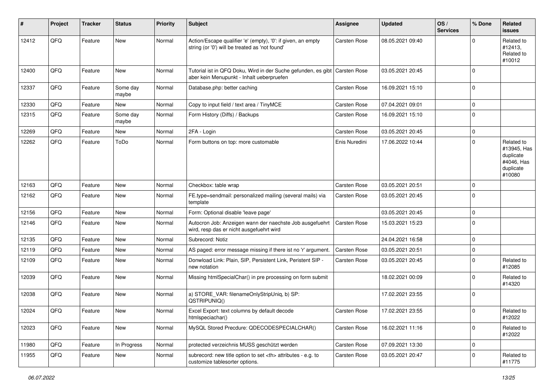| ∦     | Project | <b>Tracker</b> | <b>Status</b>     | <b>Priority</b> | <b>Subject</b>                                                                                                 | <b>Assignee</b>                                        | <b>Updated</b>   | OS/<br><b>Services</b> | % Done      | Related<br><b>issues</b>                                                    |                      |
|-------|---------|----------------|-------------------|-----------------|----------------------------------------------------------------------------------------------------------------|--------------------------------------------------------|------------------|------------------------|-------------|-----------------------------------------------------------------------------|----------------------|
| 12412 | QFQ     | Feature        | New               | Normal          | Action/Escape qualifier 'e' (empty), '0': if given, an empty<br>string (or '0') will be treated as 'not found' | Carsten Rose                                           | 08.05.2021 09:40 |                        |             | Related to<br>#12413,<br>Related to<br>#10012                               |                      |
| 12400 | QFQ     | Feature        | <b>New</b>        | Normal          | Tutorial ist in QFQ Doku, Wird in der Suche gefunden, es gibt<br>aber kein Menupunkt - Inhalt ueberpruefen     | Carsten Rose                                           | 03.05.2021 20:45 |                        | $\Omega$    |                                                                             |                      |
| 12337 | QFQ     | Feature        | Some day<br>maybe | Normal          | Database.php: better caching                                                                                   | Carsten Rose                                           | 16.09.2021 15:10 |                        | $\mathbf 0$ |                                                                             |                      |
| 12330 | QFQ     | Feature        | <b>New</b>        | Normal          | Copy to input field / text area / TinyMCE                                                                      | Carsten Rose                                           | 07.04.2021 09:01 |                        | $\mathbf 0$ |                                                                             |                      |
| 12315 | QFQ     | Feature        | Some day<br>maybe | Normal          | Form History (Diffs) / Backups                                                                                 | Carsten Rose                                           | 16.09.2021 15:10 |                        | 0           |                                                                             |                      |
| 12269 | QFQ     | Feature        | New               | Normal          | 2FA - Login                                                                                                    | Carsten Rose                                           | 03.05.2021 20:45 |                        | $\mathbf 0$ |                                                                             |                      |
| 12262 | QFQ     | Feature        | ToDo              | Normal          | Form buttons on top: more customable                                                                           | Enis Nuredini                                          | 17.06.2022 10:44 |                        | $\Omega$    | Related to<br>#13945, Has<br>duplicate<br>#4046, Has<br>duplicate<br>#10080 |                      |
| 12163 | QFQ     | Feature        | <b>New</b>        | Normal          | Checkbox: table wrap                                                                                           | Carsten Rose                                           | 03.05.2021 20:51 |                        | $\Omega$    |                                                                             |                      |
| 12162 | QFQ     | Feature        | New               | Normal          | FE.type=sendmail: personalized mailing (several mails) via<br>template                                         | Carsten Rose                                           | 03.05.2021 20:45 |                        | $\Omega$    |                                                                             |                      |
| 12156 | QFQ     | Feature        | New               | Normal          | Form: Optional disable 'leave page'                                                                            |                                                        | 03.05.2021 20:45 |                        | $\Omega$    |                                                                             |                      |
| 12146 | QFQ     | Feature        | <b>New</b>        | Normal          | Autocron Job: Anzeigen wann der naechste Job ausgefuehrt<br>wird, resp das er nicht ausgefuehrt wird           | <b>Carsten Rose</b>                                    | 15.03.2021 15:23 |                        | $\mathbf 0$ |                                                                             |                      |
| 12135 | QFQ     | Feature        | <b>New</b>        | Normal          | Subrecord: Notiz                                                                                               |                                                        | 24.04.2021 16:58 |                        | $\Omega$    |                                                                             |                      |
| 12119 | QFQ     | Feature        | <b>New</b>        | Normal          | AS paged: error message missing if there ist no 'r' argument.                                                  | Carsten Rose                                           | 03.05.2021 20:51 |                        | 0           |                                                                             |                      |
| 12109 | QFQ     | Feature        | <b>New</b>        | Normal          | Donwload Link: Plain, SIP, Persistent Link, Peristent SIP -<br>new notation                                    | Carsten Rose                                           | 03.05.2021 20:45 |                        | $\Omega$    | Related to<br>#12085                                                        |                      |
| 12039 | QFQ     | Feature        | New               | Normal          | Missing htmlSpecialChar() in pre processing on form submit                                                     |                                                        | 18.02.2021 00:09 |                        | $\Omega$    | Related to<br>#14320                                                        |                      |
| 12038 | QFQ     | Feature        | New               | Normal          | a) STORE_VAR: filenameOnlyStripUniq, b) SP:<br>QSTRIPUNIQ()                                                    |                                                        | 17.02.2021 23:55 |                        | l 0         |                                                                             |                      |
| 12024 | QFQ     | Feature        | <b>New</b>        | Normal          | Excel Export: text columns by default decode<br>htmlspeciachar()                                               | Carsten Rose                                           | 17.02.2021 23:55 |                        | $\Omega$    | Related to<br>#12022                                                        |                      |
| 12023 | QFG     | Feature        | New               | Normal          | MySQL Stored Precdure: QDECODESPECIALCHAR()                                                                    | Carsten Rose                                           | 16.02.2021 11:16 |                        | $\mathbf 0$ | Related to<br>#12022                                                        |                      |
| 11980 | QFQ     | Feature        | In Progress       | Normal          | protected verzeichnis MUSS geschützt werden                                                                    | Carsten Rose                                           | 07.09.2021 13:30 |                        | $\mathbf 0$ |                                                                             |                      |
| 11955 | QFQ     | Feature        | <b>New</b>        | Normal          | subrecord: new title option to set <th> attributes - e.g. to<br/>customize tablesorter options.</th>           | attributes - e.g. to<br>customize tablesorter options. | Carsten Rose     | 03.05.2021 20:47       |             | 0                                                                           | Related to<br>#11775 |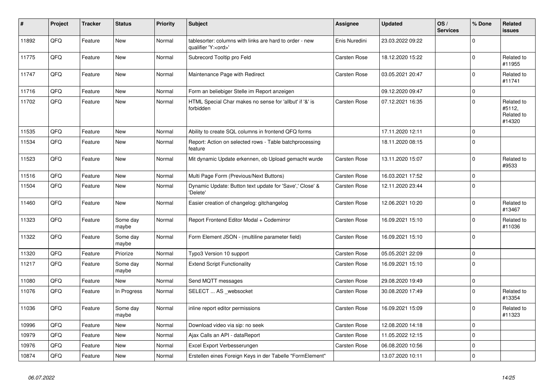| #     | Project | <b>Tracker</b> | <b>Status</b>     | <b>Priority</b> | <b>Subject</b>                                                                        | <b>Assignee</b>     | <b>Updated</b>   | OS/<br><b>Services</b> | % Done         | Related<br>issues                            |
|-------|---------|----------------|-------------------|-----------------|---------------------------------------------------------------------------------------|---------------------|------------------|------------------------|----------------|----------------------------------------------|
| 11892 | QFQ     | Feature        | <b>New</b>        | Normal          | tablesorter: columns with links are hard to order - new<br>qualifier 'Y: <ord>'</ord> | Enis Nuredini       | 23.03.2022 09:22 |                        | $\Omega$       |                                              |
| 11775 | QFQ     | Feature        | <b>New</b>        | Normal          | Subrecord Tooltip pro Feld                                                            | Carsten Rose        | 18.12.2020 15:22 |                        | $\mathbf 0$    | Related to<br>#11955                         |
| 11747 | QFQ     | Feature        | New               | Normal          | Maintenance Page with Redirect                                                        | Carsten Rose        | 03.05.2021 20:47 |                        | $\Omega$       | Related to<br>#11741                         |
| 11716 | QFQ     | Feature        | <b>New</b>        | Normal          | Form an beliebiger Stelle im Report anzeigen                                          |                     | 09.12.2020 09:47 |                        | $\Omega$       |                                              |
| 11702 | QFQ     | Feature        | <b>New</b>        | Normal          | HTML Special Char makes no sense for 'allbut' if '&' is<br>forbidden                  | Carsten Rose        | 07.12.2021 16:35 |                        | $\Omega$       | Related to<br>#5112,<br>Related to<br>#14320 |
| 11535 | QFQ     | Feature        | <b>New</b>        | Normal          | Ability to create SQL columns in frontend QFQ forms                                   |                     | 17.11.2020 12:11 |                        | $\mathbf 0$    |                                              |
| 11534 | QFQ     | Feature        | New               | Normal          | Report: Action on selected rows - Table batchprocessing<br>feature                    |                     | 18.11.2020 08:15 |                        | $\mathbf 0$    |                                              |
| 11523 | QFQ     | Feature        | <b>New</b>        | Normal          | Mit dynamic Update erkennen, ob Upload gemacht wurde                                  | Carsten Rose        | 13.11.2020 15:07 |                        | $\Omega$       | Related to<br>#9533                          |
| 11516 | QFQ     | Feature        | <b>New</b>        | Normal          | Multi Page Form (Previous/Next Buttons)                                               | Carsten Rose        | 16.03.2021 17:52 |                        | $\mathbf 0$    |                                              |
| 11504 | QFQ     | Feature        | <b>New</b>        | Normal          | Dynamic Update: Button text update for 'Save',' Close' &<br>'Delete'                  | Carsten Rose        | 12.11.2020 23:44 |                        | $\Omega$       |                                              |
| 11460 | QFQ     | Feature        | New               | Normal          | Easier creation of changelog: gitchangelog                                            | <b>Carsten Rose</b> | 12.06.2021 10:20 |                        | $\mathbf 0$    | Related to<br>#13467                         |
| 11323 | QFQ     | Feature        | Some day<br>maybe | Normal          | Report Frontend Editor Modal + Codemirror                                             | Carsten Rose        | 16.09.2021 15:10 |                        | $\Omega$       | Related to<br>#11036                         |
| 11322 | QFQ     | Feature        | Some day<br>maybe | Normal          | Form Element JSON - (multiline parameter field)                                       | Carsten Rose        | 16.09.2021 15:10 |                        | $\overline{0}$ |                                              |
| 11320 | QFQ     | Feature        | Priorize          | Normal          | Typo3 Version 10 support                                                              | <b>Carsten Rose</b> | 05.05.2021 22:09 |                        | $\mathbf 0$    |                                              |
| 11217 | QFQ     | Feature        | Some day<br>maybe | Normal          | <b>Extend Script Functionality</b>                                                    | Carsten Rose        | 16.09.2021 15:10 |                        | $\overline{0}$ |                                              |
| 11080 | QFQ     | Feature        | <b>New</b>        | Normal          | Send MQTT messages                                                                    | Carsten Rose        | 29.08.2020 19:49 |                        | $\mathbf 0$    |                                              |
| 11076 | QFQ     | Feature        | In Progress       | Normal          | SELECT  AS _websocket                                                                 | Carsten Rose        | 30.08.2020 17:49 |                        | $\mathbf 0$    | Related to<br>#13354                         |
| 11036 | QFQ     | Feature        | Some day<br>maybe | Normal          | inline report editor permissions                                                      | Carsten Rose        | 16.09.2021 15:09 |                        | $\Omega$       | Related to<br>#11323                         |
| 10996 | QFQ     | Feature        | New               | Normal          | Download video via sip: no seek                                                       | Carsten Rose        | 12.08.2020 14:18 |                        | $\Omega$       |                                              |
| 10979 | QFQ     | Feature        | <b>New</b>        | Normal          | Ajax Calls an API - dataReport                                                        | Carsten Rose        | 11.05.2022 12:15 |                        | $\mathbf 0$    |                                              |
| 10976 | QFQ     | Feature        | <b>New</b>        | Normal          | Excel Export Verbesserungen                                                           | <b>Carsten Rose</b> | 06.08.2020 10:56 |                        | $\mathbf 0$    |                                              |
| 10874 | QFQ     | Feature        | New               | Normal          | Erstellen eines Foreign Keys in der Tabelle "FormElement"                             |                     | 13.07.2020 10:11 |                        | $\mathbf 0$    |                                              |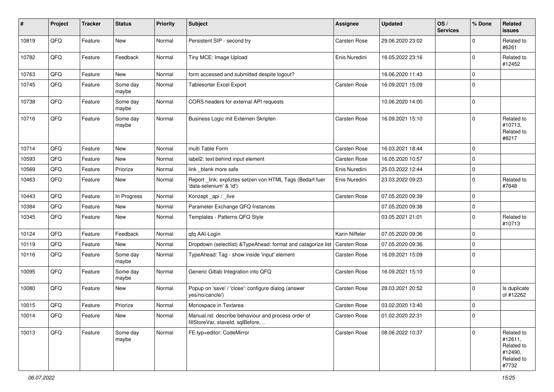| $\sharp$ | Project | <b>Tracker</b> | <b>Status</b>     | <b>Priority</b> | <b>Subject</b>                                                                           | <b>Assignee</b> | <b>Updated</b>   | OS/<br><b>Services</b> | % Done      | Related<br>issues                                                     |
|----------|---------|----------------|-------------------|-----------------|------------------------------------------------------------------------------------------|-----------------|------------------|------------------------|-------------|-----------------------------------------------------------------------|
| 10819    | QFQ     | Feature        | New               | Normal          | Persistent SIP - second try                                                              | Carsten Rose    | 29.06.2020 23:02 |                        | $\Omega$    | Related to<br>#6261                                                   |
| 10782    | QFQ     | Feature        | Feedback          | Normal          | Tiny MCE: Image Upload                                                                   | Enis Nuredini   | 16.05.2022 23:16 |                        | $\mathbf 0$ | Related to<br>#12452                                                  |
| 10763    | QFQ     | Feature        | New               | Normal          | form accessed and submitted despite logout?                                              |                 | 16.06.2020 11:43 |                        | $\Omega$    |                                                                       |
| 10745    | QFQ     | Feature        | Some day<br>maybe | Normal          | <b>Tablesorter Excel Export</b>                                                          | Carsten Rose    | 16.09.2021 15:09 |                        | $\Omega$    |                                                                       |
| 10738    | QFQ     | Feature        | Some day<br>maybe | Normal          | CORS headers for external API requests                                                   |                 | 10.06.2020 14:00 |                        | $\Omega$    |                                                                       |
| 10716    | QFQ     | Feature        | Some day<br>maybe | Normal          | Business Logic mit Externen Skripten                                                     | Carsten Rose    | 16.09.2021 15:10 |                        | $\mathbf 0$ | Related to<br>#10713,<br>Related to<br>#8217                          |
| 10714    | QFQ     | Feature        | New               | Normal          | multi Table Form                                                                         | Carsten Rose    | 16.03.2021 18:44 |                        | $\Omega$    |                                                                       |
| 10593    | QFQ     | Feature        | New               | Normal          | label2: text behind input element                                                        | Carsten Rose    | 16.05.2020 10:57 |                        | $\mathbf 0$ |                                                                       |
| 10569    | QFQ     | Feature        | Priorize          | Normal          | link blank more safe                                                                     | Enis Nuredini   | 25.03.2022 12:44 |                        | $\mathbf 0$ |                                                                       |
| 10463    | QFQ     | Feature        | New               | Normal          | Report_link: expliztes setzen von HTML Tags (Bedarf fuer<br>'data-selenium' & 'id')      | Enis Nuredini   | 23.03.2022 09:23 |                        | $\Omega$    | Related to<br>#7648                                                   |
| 10443    | QFQ     | Feature        | In Progress       | Normal          | Konzept_api / _live                                                                      | Carsten Rose    | 07.05.2020 09:39 |                        | $\Omega$    |                                                                       |
| 10384    | QFQ     | Feature        | New               | Normal          | Parameter Exchange QFQ Instances                                                         |                 | 07.05.2020 09:38 |                        | 0           |                                                                       |
| 10345    | QFQ     | Feature        | New               | Normal          | Templates - Patterns QFQ Style                                                           |                 | 03.05.2021 21:01 |                        | $\Omega$    | Related to<br>#10713                                                  |
| 10124    | QFQ     | Feature        | Feedback          | Normal          | qfq AAI-Login                                                                            | Karin Niffeler  | 07.05.2020 09:36 |                        | $\mathbf 0$ |                                                                       |
| 10119    | QFQ     | Feature        | New               | Normal          | Dropdown (selectlist) & TypeAhead: format and catagorize list                            | Carsten Rose    | 07.05.2020 09:36 |                        | $\Omega$    |                                                                       |
| 10116    | QFQ     | Feature        | Some day<br>maybe | Normal          | TypeAhead: Tag - show inside 'input' element                                             | Carsten Rose    | 16.09.2021 15:09 |                        | $\Omega$    |                                                                       |
| 10095    | QFQ     | Feature        | Some day<br>maybe | Normal          | Generic Gitlab Integration into QFQ                                                      | Carsten Rose    | 16.09.2021 15:10 |                        | $\Omega$    |                                                                       |
| 10080    | QFQ     | Feature        | New               | Normal          | Popup on 'save' / 'close': configure dialog (answer<br>yes/no/cancle/)                   | Carsten Rose    | 28.03.2021 20:52 |                        | 0           | Is duplicate<br>of #12262                                             |
| 10015    | QFQ     | Feature        | Priorize          | Normal          | Monospace in Textarea                                                                    | Carsten Rose    | 03.02.2020 13:40 |                        | $\Omega$    |                                                                       |
| 10014    | QFQ     | Feature        | New               | Normal          | Manual.rst: describe behaviour and process order of<br>fillStoreVar, slaveId, sqlBefore, | Carsten Rose    | 01.02.2020 22:31 |                        | l 0         |                                                                       |
| 10013    | QFQ     | Feature        | Some day<br>maybe | Normal          | FE.typ=editor: CodeMirror                                                                | Carsten Rose    | 08.06.2022 10:37 |                        | $\mathbf 0$ | Related to<br>#12611,<br>Related to<br>#12490,<br>Related to<br>#7732 |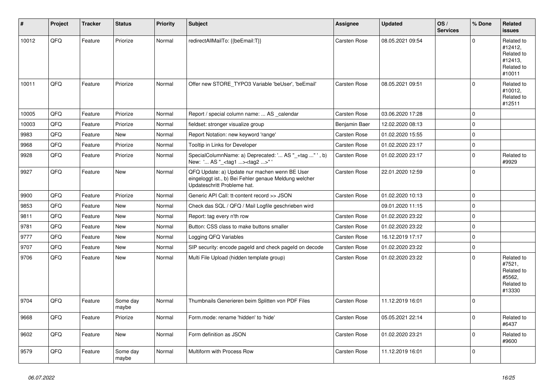| #     | Project | <b>Tracker</b> | <b>Status</b>     | <b>Priority</b> | <b>Subject</b>                                                                                                                        | <b>Assignee</b>     | <b>Updated</b>   | OS/<br><b>Services</b> | % Done         | Related<br><b>issues</b>                                               |
|-------|---------|----------------|-------------------|-----------------|---------------------------------------------------------------------------------------------------------------------------------------|---------------------|------------------|------------------------|----------------|------------------------------------------------------------------------|
| 10012 | QFQ     | Feature        | Priorize          | Normal          | redirectAllMailTo: {{beEmail:T}}                                                                                                      | <b>Carsten Rose</b> | 08.05.2021 09:54 |                        | $\Omega$       | Related to<br>#12412,<br>Related to<br>#12413,<br>Related to<br>#10011 |
| 10011 | QFQ     | Feature        | Priorize          | Normal          | Offer new STORE TYPO3 Variable 'beUser', 'beEmail'                                                                                    | Carsten Rose        | 08.05.2021 09:51 |                        | $\Omega$       | Related to<br>#10012,<br>Related to<br>#12511                          |
| 10005 | QFQ     | Feature        | Priorize          | Normal          | Report / special column name:  AS calendar                                                                                            | <b>Carsten Rose</b> | 03.06.2020 17:28 |                        | $\overline{0}$ |                                                                        |
| 10003 | QFQ     | Feature        | Priorize          | Normal          | fieldset: stronger visualize group                                                                                                    | Benjamin Baer       | 12.02.2020 08:13 |                        | $\Omega$       |                                                                        |
| 9983  | QFQ     | Feature        | <b>New</b>        | Normal          | Report Notation: new keyword 'range'                                                                                                  | Carsten Rose        | 01.02.2020 15:55 |                        | $\Omega$       |                                                                        |
| 9968  | QFQ     | Feature        | Priorize          | Normal          | Tooltip in Links for Developer                                                                                                        | Carsten Rose        | 01.02.2020 23:17 |                        | $\Omega$       |                                                                        |
| 9928  | QFQ     | Feature        | Priorize          | Normal          | SpecialColumnName: a) Deprecated: ' AS "_+tag " ', b)<br>New: ' AS "_ <tag1><tag2>"'</tag2></tag1>                                    | Carsten Rose        | 01.02.2020 23:17 |                        | $\Omega$       | Related to<br>#9929                                                    |
| 9927  | QFQ     | Feature        | <b>New</b>        | Normal          | QFQ Update: a) Update nur machen wenn BE User<br>eingeloggt ist., b) Bei Fehler genaue Meldung welcher<br>Updateschritt Probleme hat. | Carsten Rose        | 22.01.2020 12:59 |                        | 0              |                                                                        |
| 9900  | QFQ     | Feature        | Priorize          | Normal          | Generic API Call: tt-content record >> JSON                                                                                           | Carsten Rose        | 01.02.2020 10:13 |                        | $\overline{0}$ |                                                                        |
| 9853  | QFQ     | Feature        | <b>New</b>        | Normal          | Check das SQL / QFQ / Mail Logfile geschrieben wird                                                                                   |                     | 09.01.2020 11:15 |                        | $\Omega$       |                                                                        |
| 9811  | QFQ     | Feature        | <b>New</b>        | Normal          | Report: tag every n'th row                                                                                                            | Carsten Rose        | 01.02.2020 23:22 |                        | $\Omega$       |                                                                        |
| 9781  | QFQ     | Feature        | <b>New</b>        | Normal          | Button: CSS class to make buttons smaller                                                                                             | Carsten Rose        | 01.02.2020 23:22 |                        | $\mathbf 0$    |                                                                        |
| 9777  | QFQ     | Feature        | <b>New</b>        | Normal          | Logging QFQ Variables                                                                                                                 | <b>Carsten Rose</b> | 16.12.2019 17:17 |                        | $\Omega$       |                                                                        |
| 9707  | QFQ     | Feature        | <b>New</b>        | Normal          | SIP security: encode pageld and check pageld on decode                                                                                | Carsten Rose        | 01.02.2020 23:22 |                        | $\overline{0}$ |                                                                        |
| 9706  | QFQ     | Feature        | <b>New</b>        | Normal          | Multi File Upload (hidden template group)                                                                                             | Carsten Rose        | 01.02.2020 23:22 |                        | $\Omega$       | Related to<br>#7521,<br>Related to<br>#5562.<br>Related to<br>#13330   |
| 9704  | QFQ     | Feature        | Some day<br>maybe | Normal          | Thumbnails Generieren beim Splitten von PDF Files                                                                                     | Carsten Rose        | 11.12.2019 16:01 |                        | $\overline{0}$ |                                                                        |
| 9668  | QFQ     | Feature        | Priorize          | Normal          | Form.mode: rename 'hidden' to 'hide'                                                                                                  | Carsten Rose        | 05.05.2021 22:14 |                        | $\Omega$       | Related to<br>#6437                                                    |
| 9602  | QFQ     | Feature        | <b>New</b>        | Normal          | Form definition as JSON                                                                                                               | Carsten Rose        | 01.02.2020 23:21 |                        | $\mathbf 0$    | Related to<br>#9600                                                    |
| 9579  | QFQ     | Feature        | Some day<br>maybe | Normal          | Multiform with Process Row                                                                                                            | Carsten Rose        | 11.12.2019 16:01 |                        | $\Omega$       |                                                                        |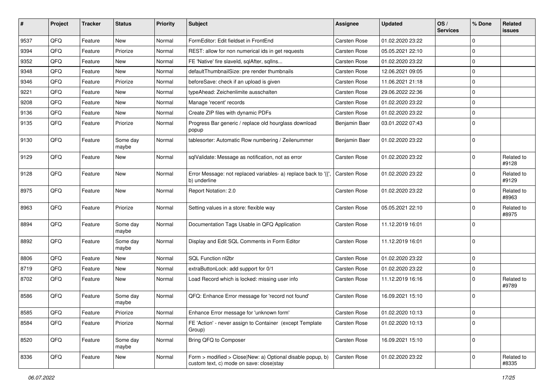| #    | <b>Project</b> | <b>Tracker</b> | <b>Status</b>     | <b>Priority</b> | <b>Subject</b>                                                                                         | <b>Assignee</b> | <b>Updated</b>   | OS/<br><b>Services</b> | % Done      | Related<br>issues   |
|------|----------------|----------------|-------------------|-----------------|--------------------------------------------------------------------------------------------------------|-----------------|------------------|------------------------|-------------|---------------------|
| 9537 | QFQ            | Feature        | New               | Normal          | FormEditor: Edit fieldset in FrontEnd                                                                  | Carsten Rose    | 01.02.2020 23:22 |                        | $\Omega$    |                     |
| 9394 | QFQ            | Feature        | Priorize          | Normal          | REST: allow for non numerical ids in get requests                                                      | Carsten Rose    | 05.05.2021 22:10 |                        | 0           |                     |
| 9352 | QFQ            | Feature        | New               | Normal          | FE 'Native' fire slaveld, sqlAfter, sqlIns                                                             | Carsten Rose    | 01.02.2020 23:22 |                        | $\Omega$    |                     |
| 9348 | QFQ            | Feature        | New               | Normal          | defaultThumbnailSize: pre render thumbnails                                                            | Carsten Rose    | 12.06.2021 09:05 |                        | $\Omega$    |                     |
| 9346 | QFQ            | Feature        | Priorize          | Normal          | beforeSave: check if an upload is given                                                                | Carsten Rose    | 11.06.2021 21:18 |                        | $\Omega$    |                     |
| 9221 | QFQ            | Feature        | New               | Normal          | typeAhead: Zeichenlimite ausschalten                                                                   | Carsten Rose    | 29.06.2022 22:36 |                        | $\Omega$    |                     |
| 9208 | QFQ            | Feature        | New               | Normal          | Manage 'recent' records                                                                                | Carsten Rose    | 01.02.2020 23:22 |                        | 0           |                     |
| 9136 | QFQ            | Feature        | New               | Normal          | Create ZIP files with dynamic PDFs                                                                     | Carsten Rose    | 01.02.2020 23:22 |                        | $\Omega$    |                     |
| 9135 | QFQ            | Feature        | Priorize          | Normal          | Progress Bar generic / replace old hourglass download<br>popup                                         | Benjamin Baer   | 03.01.2022 07:43 |                        | $\Omega$    |                     |
| 9130 | QFQ            | Feature        | Some day<br>maybe | Normal          | tablesorter: Automatic Row numbering / Zeilenummer                                                     | Benjamin Baer   | 01.02.2020 23:22 |                        | $\Omega$    |                     |
| 9129 | QFQ            | Feature        | New               | Normal          | sqlValidate: Message as notification, not as error                                                     | Carsten Rose    | 01.02.2020 23:22 |                        | $\Omega$    | Related to<br>#9128 |
| 9128 | QFQ            | Feature        | New               | Normal          | Error Message: not replaced variables- a) replace back to '{',<br>b) underline                         | Carsten Rose    | 01.02.2020 23:22 |                        | $\Omega$    | Related to<br>#9129 |
| 8975 | QFQ            | Feature        | New               | Normal          | Report Notation: 2.0                                                                                   | Carsten Rose    | 01.02.2020 23:22 |                        | $\Omega$    | Related to<br>#8963 |
| 8963 | QFQ            | Feature        | Priorize          | Normal          | Setting values in a store: flexible way                                                                | Carsten Rose    | 05.05.2021 22:10 |                        | $\Omega$    | Related to<br>#8975 |
| 8894 | QFQ            | Feature        | Some day<br>maybe | Normal          | Documentation Tags Usable in QFQ Application                                                           | Carsten Rose    | 11.12.2019 16:01 |                        | $\Omega$    |                     |
| 8892 | QFQ            | Feature        | Some day<br>maybe | Normal          | Display and Edit SQL Comments in Form Editor                                                           | Carsten Rose    | 11.12.2019 16:01 |                        | $\Omega$    |                     |
| 8806 | QFQ            | Feature        | New               | Normal          | SQL Function nl2br                                                                                     | Carsten Rose    | 01.02.2020 23:22 |                        | $\mathbf 0$ |                     |
| 8719 | QFQ            | Feature        | New               | Normal          | extraButtonLock: add support for 0/1                                                                   | Carsten Rose    | 01.02.2020 23:22 |                        | $\mathbf 0$ |                     |
| 8702 | QFQ            | Feature        | New               | Normal          | Load Record which is locked: missing user info                                                         | Carsten Rose    | 11.12.2019 16:16 |                        |             | Related to<br>#9789 |
| 8586 | QFQ            | Feature        | Some day<br>maybe | Normal          | QFQ: Enhance Error message for 'record not found'                                                      | Carsten Rose    | 16.09.2021 15:10 |                        | $\Omega$    |                     |
| 8585 | QFQ            | Feature        | Priorize          | Normal          | Enhance Error message for 'unknown form'                                                               | Carsten Rose    | 01.02.2020 10:13 |                        | $\mathbf 0$ |                     |
| 8584 | QFQ            | Feature        | Priorize          | Normal          | FE 'Action' - never assign to Container (except Template<br>Group)                                     | Carsten Rose    | 01.02.2020 10:13 |                        | $\Omega$    |                     |
| 8520 | QFQ            | Feature        | Some day<br>maybe | Normal          | Bring QFQ to Composer                                                                                  | Carsten Rose    | 16.09.2021 15:10 |                        | 0           |                     |
| 8336 | QFQ            | Feature        | New               | Normal          | Form > modified > Close New: a) Optional disable popup, b)<br>custom text, c) mode on save: close stay | Carsten Rose    | 01.02.2020 23:22 |                        | $\mathbf 0$ | Related to<br>#8335 |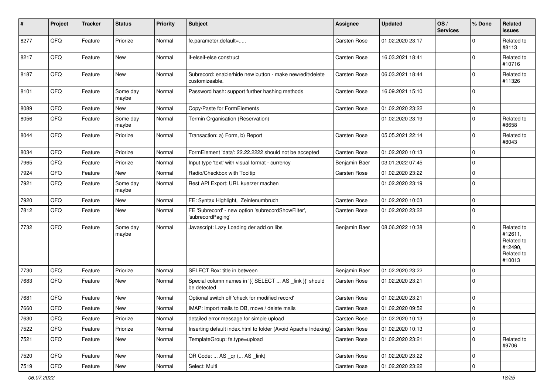| $\sharp$ | Project | <b>Tracker</b> | <b>Status</b>     | <b>Priority</b> | Subject                                                                    | <b>Assignee</b> | <b>Updated</b>   | OS/<br><b>Services</b> | % Done      | Related<br>issues                                                      |
|----------|---------|----------------|-------------------|-----------------|----------------------------------------------------------------------------|-----------------|------------------|------------------------|-------------|------------------------------------------------------------------------|
| 8277     | QFQ     | Feature        | Priorize          | Normal          | fe.parameter.default=                                                      | Carsten Rose    | 01.02.2020 23:17 |                        | $\Omega$    | Related to<br>#8113                                                    |
| 8217     | QFQ     | Feature        | New               | Normal          | if-elseif-else construct                                                   | Carsten Rose    | 16.03.2021 18:41 |                        | $\Omega$    | Related to<br>#10716                                                   |
| 8187     | QFQ     | Feature        | New               | Normal          | Subrecord: enable/hide new button - make new/edit/delete<br>customizeable. | Carsten Rose    | 06.03.2021 18:44 |                        | $\Omega$    | Related to<br>#11326                                                   |
| 8101     | QFQ     | Feature        | Some day<br>maybe | Normal          | Password hash: support further hashing methods                             | Carsten Rose    | 16.09.2021 15:10 |                        | 0           |                                                                        |
| 8089     | QFQ     | Feature        | New               | Normal          | Copy/Paste for FormElements                                                | Carsten Rose    | 01.02.2020 23:22 |                        | $\mathbf 0$ |                                                                        |
| 8056     | QFQ     | Feature        | Some day<br>maybe | Normal          | Termin Organisation (Reservation)                                          |                 | 01.02.2020 23:19 |                        | 0           | Related to<br>#8658                                                    |
| 8044     | QFQ     | Feature        | Priorize          | Normal          | Transaction: a) Form, b) Report                                            | Carsten Rose    | 05.05.2021 22:14 |                        | 0           | Related to<br>#8043                                                    |
| 8034     | QFQ     | Feature        | Priorize          | Normal          | FormElement 'data': 22.22.2222 should not be accepted                      | Carsten Rose    | 01.02.2020 10:13 |                        | $\mathbf 0$ |                                                                        |
| 7965     | QFQ     | Feature        | Priorize          | Normal          | Input type 'text' with visual format - currency                            | Benjamin Baer   | 03.01.2022 07:45 |                        | $\mathbf 0$ |                                                                        |
| 7924     | QFQ     | Feature        | New               | Normal          | Radio/Checkbox with Tooltip                                                | Carsten Rose    | 01.02.2020 23:22 |                        | $\Omega$    |                                                                        |
| 7921     | QFQ     | Feature        | Some day<br>maybe | Normal          | Rest API Export: URL kuerzer machen                                        |                 | 01.02.2020 23:19 |                        | $\Omega$    |                                                                        |
| 7920     | QFQ     | Feature        | New               | Normal          | FE: Syntax Highlight, Zeinlenumbruch                                       | Carsten Rose    | 01.02.2020 10:03 |                        | $\Omega$    |                                                                        |
| 7812     | QFQ     | Feature        | New               | Normal          | FE 'Subrecord' - new option 'subrecordShowFilter',<br>'subrecordPaging'    | Carsten Rose    | 01.02.2020 23:22 |                        | $\Omega$    |                                                                        |
| 7732     | QFQ     | Feature        | Some day<br>maybe | Normal          | Javascript: Lazy Loading der add on libs                                   | Benjamin Baer   | 08.06.2022 10:38 |                        | $\Omega$    | Related to<br>#12611,<br>Related to<br>#12490,<br>Related to<br>#10013 |
| 7730     | QFQ     | Feature        | Priorize          | Normal          | SELECT Box: title in between                                               | Benjamin Baer   | 01.02.2020 23:22 |                        | $\mathbf 0$ |                                                                        |
| 7683     | QFQ     | Feature        | New               | Normal          | Special column names in '{{ SELECT  AS _link }}' should<br>be detected     | Carsten Rose    | 01.02.2020 23:21 |                        | $\Omega$    |                                                                        |
| 7681     | QFQ     | Feature        | <b>New</b>        | Normal          | Optional switch off 'check for modified record'                            | Carsten Rose    | 01.02.2020 23:21 |                        | $\mathbf 0$ |                                                                        |
| 7660     | QFQ     | Feature        | New               | Normal          | IMAP: import mails to DB, move / delete mails                              | Carsten Rose    | 01.02.2020 09:52 |                        | $\mathbf 0$ |                                                                        |
| 7630     | QFQ     | Feature        | Priorize          | Normal          | detailed error message for simple upload                                   | Carsten Rose    | 01.02.2020 10:13 |                        | 0           |                                                                        |
| 7522     | QFQ     | Feature        | Priorize          | Normal          | Inserting default index.html to folder (Avoid Apache Indexing)             | Carsten Rose    | 01.02.2020 10:13 |                        | $\mathbf 0$ |                                                                        |
| 7521     | QFQ     | Feature        | New               | Normal          | TemplateGroup: fe.type=upload                                              | Carsten Rose    | 01.02.2020 23:21 |                        | 0           | Related to<br>#9706                                                    |
| 7520     | QFQ     | Feature        | New               | Normal          | QR Code:  AS _qr ( AS _link)                                               | Carsten Rose    | 01.02.2020 23:22 |                        | 0           |                                                                        |
| 7519     | QFQ     | Feature        | New               | Normal          | Select: Multi                                                              | Carsten Rose    | 01.02.2020 23:22 |                        | $\mathbf 0$ |                                                                        |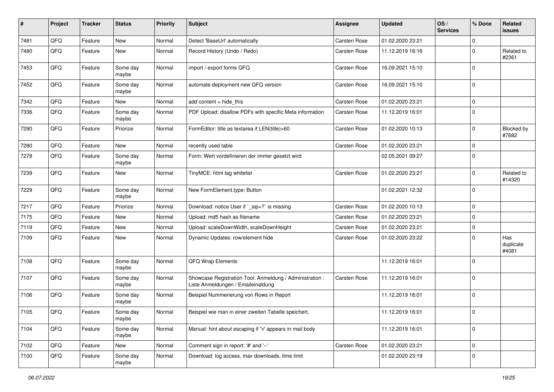| #    | Project | <b>Tracker</b> | <b>Status</b>     | <b>Priority</b> | <b>Subject</b>                                                                                 | <b>Assignee</b>     | <b>Updated</b>   | OS/<br><b>Services</b> | % Done      | Related<br>issues         |
|------|---------|----------------|-------------------|-----------------|------------------------------------------------------------------------------------------------|---------------------|------------------|------------------------|-------------|---------------------------|
| 7481 | QFQ     | Feature        | New               | Normal          | Detect 'BaseUrl' automatically                                                                 | Carsten Rose        | 01.02.2020 23:21 |                        | $\Omega$    |                           |
| 7480 | QFQ     | Feature        | New               | Normal          | Record History (Undo / Redo)                                                                   | Carsten Rose        | 11.12.2019 16:16 |                        | $\Omega$    | Related to<br>#2361       |
| 7453 | QFQ     | Feature        | Some day<br>maybe | Normal          | import / export forms QFQ                                                                      | Carsten Rose        | 16.09.2021 15:10 |                        | 0           |                           |
| 7452 | QFQ     | Feature        | Some day<br>maybe | Normal          | automate deployment new QFQ version                                                            | Carsten Rose        | 16.09.2021 15:10 |                        | 0           |                           |
| 7342 | QFQ     | Feature        | New               | Normal          | add content = hide_this                                                                        | Carsten Rose        | 01.02.2020 23:21 |                        | $\Omega$    |                           |
| 7336 | QFQ     | Feature        | Some day<br>maybe | Normal          | PDF Upload: disallow PDFs with specific Meta information                                       | Carsten Rose        | 11.12.2019 16:01 |                        | 0           |                           |
| 7290 | QFQ     | Feature        | Priorize          | Normal          | FormEditor: title as textarea if LEN(title)>60                                                 | Carsten Rose        | 01.02.2020 10:13 |                        | 0           | Blocked by<br>#7682       |
| 7280 | QFQ     | Feature        | <b>New</b>        | Normal          | recently used table                                                                            | Carsten Rose        | 01.02.2020 23:21 |                        | $\Omega$    |                           |
| 7278 | QFQ     | Feature        | Some day<br>maybe | Normal          | Form: Wert vordefinieren der immer gesetzt wird                                                |                     | 02.05.2021 09:27 |                        | $\Omega$    |                           |
| 7239 | QFQ     | Feature        | New               | Normal          | TinyMCE: html tag whitelist                                                                    | Carsten Rose        | 01.02.2020 23:21 |                        | $\Omega$    | Related to<br>#14320      |
| 7229 | QFQ     | Feature        | Some day<br>maybe | Normal          | New FormElement.type: Button                                                                   |                     | 01.02.2021 12:32 |                        | 0           |                           |
| 7217 | QFQ     | Feature        | Priorize          | Normal          | Download: notice User if `_sip=?` is missing                                                   | <b>Carsten Rose</b> | 01.02.2020 10:13 |                        | 0           |                           |
| 7175 | QFQ     | Feature        | <b>New</b>        | Normal          | Upload: md5 hash as filename                                                                   | Carsten Rose        | 01.02.2020 23:21 |                        | 0           |                           |
| 7119 | QFQ     | Feature        | New               | Normal          | Upload: scaleDownWidth, scaleDownHeight                                                        | Carsten Rose        | 01.02.2020 23:21 |                        | $\mathbf 0$ |                           |
| 7109 | QFQ     | Feature        | <b>New</b>        | Normal          | Dynamic Updates: row/element hide                                                              | Carsten Rose        | 01.02.2020 23:22 |                        | $\Omega$    | Has<br>duplicate<br>#4081 |
| 7108 | QFQ     | Feature        | Some day<br>maybe | Normal          | QFQ Wrap Elements                                                                              |                     | 11.12.2019 16:01 |                        | 0           |                           |
| 7107 | QFQ     | Feature        | Some day<br>maybe | Normal          | Showcase Registration Tool: Anmeldung / Administration :<br>Liste Anmeldungen / Emaileinaldung | Carsten Rose        | 11.12.2019 16:01 |                        | 0           |                           |
| 7106 | QFQ     | Feature        | Some day<br>maybe | Normal          | Beispiel Nummerierung von Rows in Report                                                       |                     | 11.12.2019 16:01 |                        | 0           |                           |
| 7105 | QFQ     | Feature        | Some day<br>maybe | Normal          | Beispiel wie man in einer zweiten Tabelle speichert.                                           |                     | 11.12.2019 16:01 |                        | l 0         |                           |
| 7104 | QFQ     | Feature        | Some day<br>maybe | Normal          | Manual: hint about escaping if '\r' appears in mail body                                       |                     | 11.12.2019 16:01 |                        | 0           |                           |
| 7102 | QFQ     | Feature        | New               | Normal          | Comment sign in report: '#' and '--'                                                           | Carsten Rose        | 01.02.2020 23:21 |                        | 0           |                           |
| 7100 | QFQ     | Feature        | Some day<br>maybe | Normal          | Download: log access, max downloads, time limit                                                |                     | 01.02.2020 23:19 |                        | 0           |                           |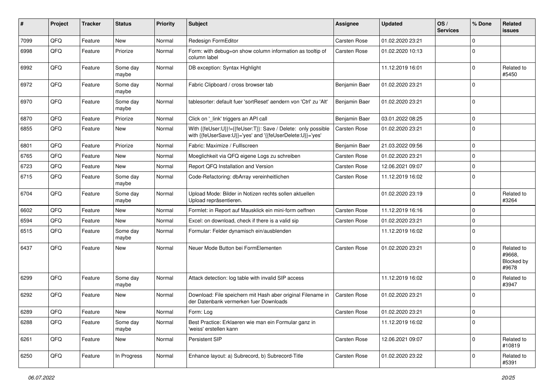| #    | Project | <b>Tracker</b> | <b>Status</b>     | <b>Priority</b> | Subject                                                                                                                    | <b>Assignee</b> | <b>Updated</b>   | OS/<br><b>Services</b> | % Done      | Related<br>issues                           |
|------|---------|----------------|-------------------|-----------------|----------------------------------------------------------------------------------------------------------------------------|-----------------|------------------|------------------------|-------------|---------------------------------------------|
| 7099 | QFQ     | Feature        | <b>New</b>        | Normal          | Redesign FormEditor                                                                                                        | Carsten Rose    | 01.02.2020 23:21 |                        | $\Omega$    |                                             |
| 6998 | QFQ     | Feature        | Priorize          | Normal          | Form: with debug=on show column information as tooltip of<br>column label                                                  | Carsten Rose    | 01.02.2020 10:13 |                        | $\Omega$    |                                             |
| 6992 | QFQ     | Feature        | Some day<br>maybe | Normal          | DB exception: Syntax Highlight                                                                                             |                 | 11.12.2019 16:01 |                        | $\Omega$    | Related to<br>#5450                         |
| 6972 | QFQ     | Feature        | Some day<br>maybe | Normal          | Fabric Clipboard / cross browser tab                                                                                       | Benjamin Baer   | 01.02.2020 23:21 |                        | $\Omega$    |                                             |
| 6970 | QFQ     | Feature        | Some day<br>maybe | Normal          | tablesorter: default fuer 'sortReset' aendern von 'Ctrl' zu 'Alt'                                                          | Benjamin Baer   | 01.02.2020 23:21 |                        | $\Omega$    |                                             |
| 6870 | QFQ     | Feature        | Priorize          | Normal          | Click on '_link' triggers an API call                                                                                      | Benjamin Baer   | 03.01.2022 08:25 |                        | $\mathbf 0$ |                                             |
| 6855 | QFQ     | Feature        | New               | Normal          | With {{feUser:U}}!={{feUser:T}}: Save / Delete: only possible<br>with {{feUserSave:U}}='yes' and '{{feUserDelete:U}}='yes' | Carsten Rose    | 01.02.2020 23:21 |                        | $\Omega$    |                                             |
| 6801 | QFQ     | Feature        | Priorize          | Normal          | Fabric: Maximize / FullIscreen                                                                                             | Benjamin Baer   | 21.03.2022 09:56 |                        | $\Omega$    |                                             |
| 6765 | QFQ     | Feature        | New               | Normal          | Moeglichkeit via QFQ eigene Logs zu schreiben                                                                              | Carsten Rose    | 01.02.2020 23:21 |                        | $\Omega$    |                                             |
| 6723 | QFQ     | Feature        | New               | Normal          | Report QFQ Installation and Version                                                                                        | Carsten Rose    | 12.06.2021 09:07 |                        | $\Omega$    |                                             |
| 6715 | QFQ     | Feature        | Some day<br>maybe | Normal          | Code-Refactoring: dbArray vereinheitlichen                                                                                 | Carsten Rose    | 11.12.2019 16:02 |                        | $\Omega$    |                                             |
| 6704 | QFQ     | Feature        | Some day<br>maybe | Normal          | Upload Mode: Bilder in Notizen rechts sollen aktuellen<br>Upload repräsentieren.                                           |                 | 01.02.2020 23:19 |                        | 0           | Related to<br>#3264                         |
| 6602 | QFQ     | Feature        | New               | Normal          | Formlet: in Report auf Mausklick ein mini-form oeffnen                                                                     | Carsten Rose    | 11.12.2019 16:16 |                        | $\mathbf 0$ |                                             |
| 6594 | QFQ     | Feature        | New               | Normal          | Excel: on download, check if there is a valid sip                                                                          | Carsten Rose    | 01.02.2020 23:21 |                        | $\Omega$    |                                             |
| 6515 | QFQ     | Feature        | Some day<br>maybe | Normal          | Formular: Felder dynamisch ein/ausblenden                                                                                  |                 | 11.12.2019 16:02 |                        | $\Omega$    |                                             |
| 6437 | QFQ     | Feature        | New               | Normal          | Neuer Mode Button bei FormElementen                                                                                        | Carsten Rose    | 01.02.2020 23:21 |                        | $\Omega$    | Related to<br>#9668,<br>Blocked by<br>#9678 |
| 6299 | QFQ     | Feature        | Some day<br>maybe | Normal          | Attack detection: log table with invalid SIP access                                                                        |                 | 11.12.2019 16:02 |                        | $\Omega$    | Related to<br>#3947                         |
| 6292 | QFQ     | Feature        | New               | Normal          | Download: File speichern mit Hash aber original Filename in<br>der Datenbank vermerken fuer Downloads                      | Carsten Rose    | 01.02.2020 23:21 |                        | $\Omega$    |                                             |
| 6289 | QFQ     | Feature        | New               | Normal          | Form: Log                                                                                                                  | Carsten Rose    | 01.02.2020 23:21 |                        | l 0         |                                             |
| 6288 | QFQ     | Feature        | Some day<br>maybe | Normal          | Best Practice: Erklaeren wie man ein Formular ganz in<br>'weiss' erstellen kann                                            |                 | 11.12.2019 16:02 |                        | 0           |                                             |
| 6261 | QFQ     | Feature        | New               | Normal          | Persistent SIP                                                                                                             | Carsten Rose    | 12.06.2021 09:07 |                        | 0           | Related to<br>#10819                        |
| 6250 | QFQ     | Feature        | In Progress       | Normal          | Enhance layout: a) Subrecord, b) Subrecord-Title                                                                           | Carsten Rose    | 01.02.2020 23:22 |                        | 0           | Related to<br>#5391                         |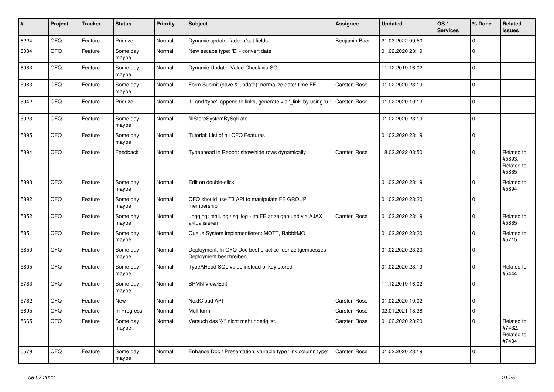| #    | Project | <b>Tracker</b> | <b>Status</b>     | <b>Priority</b> | <b>Subject</b>                                                                    | Assignee            | <b>Updated</b>   | OS/<br><b>Services</b> | % Done      | Related<br><b>issues</b>                    |
|------|---------|----------------|-------------------|-----------------|-----------------------------------------------------------------------------------|---------------------|------------------|------------------------|-------------|---------------------------------------------|
| 6224 | QFQ     | Feature        | Priorize          | Normal          | Dynamic update: fade in/out fields                                                | Benjamin Baer       | 21.03.2022 09:50 |                        | $\Omega$    |                                             |
| 6084 | QFQ     | Feature        | Some day<br>maybe | Normal          | New escape type: 'D' - convert date                                               |                     | 01.02.2020 23:19 |                        | $\Omega$    |                                             |
| 6083 | QFQ     | Feature        | Some day<br>maybe | Normal          | Dynamic Update: Value Check via SQL                                               |                     | 11.12.2019 16:02 |                        | $\Omega$    |                                             |
| 5983 | QFQ     | Feature        | Some day<br>maybe | Normal          | Form Submit (save & update): normalize date/-time FE                              | Carsten Rose        | 01.02.2020 23:19 |                        | $\Omega$    |                                             |
| 5942 | QFQ     | Feature        | Priorize          | Normal          | 'L' and 'type': append to links, generate via '_link' by using 'u:'               | <b>Carsten Rose</b> | 01.02.2020 10:13 |                        | $\Omega$    |                                             |
| 5923 | QFQ     | Feature        | Some day<br>maybe | Normal          | fillStoreSystemBySqlLate                                                          |                     | 01.02.2020 23:19 |                        | $\Omega$    |                                             |
| 5895 | QFQ     | Feature        | Some day<br>maybe | Normal          | Tutorial: List of all QFQ Features                                                |                     | 01.02.2020 23:19 |                        | $\Omega$    |                                             |
| 5894 | QFQ     | Feature        | Feedback          | Normal          | Typeahead in Report: show/hide rows dynamically                                   | Carsten Rose        | 18.02.2022 08:50 |                        | $\Omega$    | Related to<br>#5893,<br>Related to<br>#5885 |
| 5893 | QFQ     | Feature        | Some day<br>maybe | Normal          | Edit on double-click                                                              |                     | 01.02.2020 23:19 |                        | $\mathbf 0$ | Related to<br>#5894                         |
| 5892 | QFQ     | Feature        | Some day<br>maybe | Normal          | QFQ should use T3 API to manipulate FE GROUP<br>membership                        |                     | 01.02.2020 23:20 |                        | $\Omega$    |                                             |
| 5852 | QFQ     | Feature        | Some day<br>maybe | Normal          | Logging: mail.log / sql.log - im FE anzeigen und via AJAX<br>aktualisieren        | Carsten Rose        | 01.02.2020 23:19 |                        | $\Omega$    | Related to<br>#5885                         |
| 5851 | QFQ     | Feature        | Some day<br>maybe | Normal          | Queue System implementieren: MQTT, RabbitMQ                                       |                     | 01.02.2020 23:20 |                        | $\Omega$    | Related to<br>#5715                         |
| 5850 | QFQ     | Feature        | Some day<br>maybe | Normal          | Deployment: In QFQ Doc best practice fuer zeitgemaesses<br>Deployment beschreiben |                     | 01.02.2020 23:20 |                        | $\mathbf 0$ |                                             |
| 5805 | QFQ     | Feature        | Some day<br>maybe | Normal          | TypeAHead SQL value instead of key stored                                         |                     | 01.02.2020 23:19 |                        | $\Omega$    | Related to<br>#5444                         |
| 5783 | QFQ     | Feature        | Some day<br>maybe | Normal          | <b>BPMN View/Edit</b>                                                             |                     | 11.12.2019 16:02 |                        | $\mathbf 0$ |                                             |
| 5782 | QFQ     | Feature        | New               | Normal          | NextCloud API                                                                     | Carsten Rose        | 01.02.2020 10:02 |                        | $\mathbf 0$ |                                             |
| 5695 | QFQ     | Feature        | In Progress       | Normal          | Multiform                                                                         | Carsten Rose        | 02.01.2021 18:38 |                        | $\Omega$    |                                             |
| 5665 | QFQ     | Feature        | Some day<br>maybe | Normal          | Versuch das '{{!' nicht mehr noetig ist.                                          | Carsten Rose        | 01.02.2020 23:20 |                        | $\Omega$    | Related to<br>#7432.<br>Related to<br>#7434 |
| 5579 | QFQ     | Feature        | Some day<br>maybe | Normal          | Enhance Doc / Presentation: variable type 'link column type'                      | Carsten Rose        | 01.02.2020 23:19 |                        | $\Omega$    |                                             |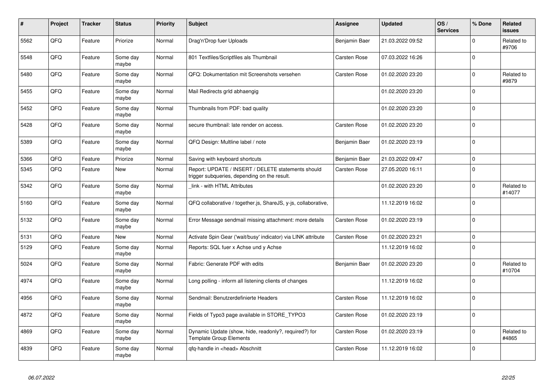| #    | Project | <b>Tracker</b> | <b>Status</b>     | <b>Priority</b> | <b>Subject</b>                                                                                     | <b>Assignee</b>     | Updated          | OS/<br><b>Services</b> | % Done       | Related<br><b>issues</b> |
|------|---------|----------------|-------------------|-----------------|----------------------------------------------------------------------------------------------------|---------------------|------------------|------------------------|--------------|--------------------------|
| 5562 | QFQ     | Feature        | Priorize          | Normal          | Drag'n'Drop fuer Uploads                                                                           | Benjamin Baer       | 21.03.2022 09:52 |                        | $\Omega$     | Related to<br>#9706      |
| 5548 | QFQ     | Feature        | Some day<br>maybe | Normal          | 801 Textfiles/Scriptfiles als Thumbnail                                                            | Carsten Rose        | 07.03.2022 16:26 |                        | $\Omega$     |                          |
| 5480 | QFQ     | Feature        | Some day<br>maybe | Normal          | QFQ: Dokumentation mit Screenshots versehen                                                        | Carsten Rose        | 01.02.2020 23:20 |                        | $\Omega$     | Related to<br>#9879      |
| 5455 | QFQ     | Feature        | Some day<br>maybe | Normal          | Mail Redirects grld abhaengig                                                                      |                     | 01.02.2020 23:20 |                        | $\Omega$     |                          |
| 5452 | QFQ     | Feature        | Some day<br>maybe | Normal          | Thumbnails from PDF: bad quality                                                                   |                     | 01.02.2020 23:20 |                        | $\Omega$     |                          |
| 5428 | QFQ     | Feature        | Some day<br>maybe | Normal          | secure thumbnail: late render on access.                                                           | <b>Carsten Rose</b> | 01.02.2020 23:20 |                        | $\Omega$     |                          |
| 5389 | QFQ     | Feature        | Some day<br>maybe | Normal          | QFQ Design: Multline label / note                                                                  | Benjamin Baer       | 01.02.2020 23:19 |                        | $\Omega$     |                          |
| 5366 | QFQ     | Feature        | Priorize          | Normal          | Saving with keyboard shortcuts                                                                     | Benjamin Baer       | 21.03.2022 09:47 |                        | $\Omega$     |                          |
| 5345 | QFQ     | Feature        | New               | Normal          | Report: UPDATE / INSERT / DELETE statements should<br>trigger subqueries, depending on the result. | Carsten Rose        | 27.05.2020 16:11 |                        | $\Omega$     |                          |
| 5342 | QFQ     | Feature        | Some day<br>maybe | Normal          | link - with HTML Attributes                                                                        |                     | 01.02.2020 23:20 |                        | $\Omega$     | Related to<br>#14077     |
| 5160 | QFQ     | Feature        | Some day<br>maybe | Normal          | QFQ collaborative / together.js, ShareJS, y-js, collaborative,                                     |                     | 11.12.2019 16:02 |                        | $\Omega$     |                          |
| 5132 | QFQ     | Feature        | Some day<br>maybe | Normal          | Error Message sendmail missing attachment: more details                                            | <b>Carsten Rose</b> | 01.02.2020 23:19 |                        | $\Omega$     |                          |
| 5131 | QFQ     | Feature        | <b>New</b>        | Normal          | Activate Spin Gear ('wait/busy' indicator) via LINK attribute                                      | <b>Carsten Rose</b> | 01.02.2020 23:21 |                        | $\Omega$     |                          |
| 5129 | QFQ     | Feature        | Some day<br>maybe | Normal          | Reports: SQL fuer x Achse und y Achse                                                              |                     | 11.12.2019 16:02 |                        | $\Omega$     |                          |
| 5024 | QFQ     | Feature        | Some day<br>maybe | Normal          | Fabric: Generate PDF with edits                                                                    | Benjamin Baer       | 01.02.2020 23:20 |                        | $\mathbf 0$  | Related to<br>#10704     |
| 4974 | QFQ     | Feature        | Some day<br>maybe | Normal          | Long polling - inform all listening clients of changes                                             |                     | 11.12.2019 16:02 |                        | $\Omega$     |                          |
| 4956 | QFQ     | Feature        | Some day<br>maybe | Normal          | Sendmail: Benutzerdefinierte Headers                                                               | Carsten Rose        | 11.12.2019 16:02 |                        | <sup>0</sup> |                          |
| 4872 | QFQ     | Feature        | Some day<br>maybe | Normal          | Fields of Typo3 page available in STORE_TYPO3                                                      | Carsten Rose        | 01.02.2020 23:19 |                        | $\Omega$     |                          |
| 4869 | QFQ     | Feature        | Some day<br>maybe | Normal          | Dynamic Update (show, hide, readonly?, required?) for<br><b>Template Group Elements</b>            | Carsten Rose        | 01.02.2020 23:19 |                        | $\Omega$     | Related to<br>#4865      |
| 4839 | QFQ     | Feature        | Some day<br>maybe | Normal          | qfq-handle in <head> Abschnitt</head>                                                              | Carsten Rose        | 11.12.2019 16:02 |                        | $\Omega$     |                          |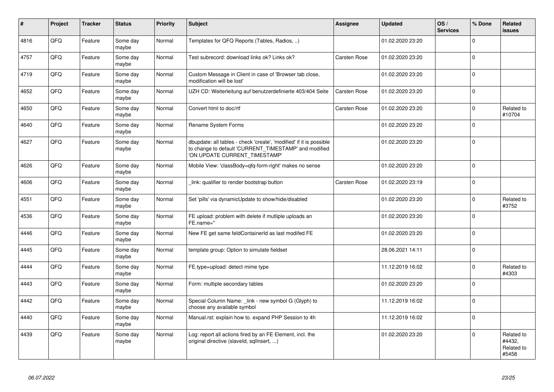| $\vert$ # | Project | <b>Tracker</b> | <b>Status</b>     | <b>Priority</b> | <b>Subject</b>                                                                                                                                                | Assignee     | <b>Updated</b>   | OS/<br><b>Services</b> | % Done         | Related<br><b>issues</b>                    |
|-----------|---------|----------------|-------------------|-----------------|---------------------------------------------------------------------------------------------------------------------------------------------------------------|--------------|------------------|------------------------|----------------|---------------------------------------------|
| 4816      | QFQ     | Feature        | Some day<br>maybe | Normal          | Templates for QFQ Reports (Tables, Radios, )                                                                                                                  |              | 01.02.2020 23:20 |                        | $\Omega$       |                                             |
| 4757      | QFQ     | Feature        | Some day<br>maybe | Normal          | Test subrecord: download links ok? Links ok?                                                                                                                  | Carsten Rose | 01.02.2020 23:20 |                        | $\mathbf 0$    |                                             |
| 4719      | QFQ     | Feature        | Some day<br>maybe | Normal          | Custom Message in Client in case of 'Browser tab close,<br>modification will be lost'                                                                         |              | 01.02.2020 23:20 |                        | $\mathbf 0$    |                                             |
| 4652      | QFQ     | Feature        | Some day<br>maybe | Normal          | UZH CD: Weiterleitung auf benutzerdefinierte 403/404 Seite                                                                                                    | Carsten Rose | 01.02.2020 23:20 |                        | $\Omega$       |                                             |
| 4650      | QFQ     | Feature        | Some day<br>maybe | Normal          | Convert html to doc/rtf                                                                                                                                       | Carsten Rose | 01.02.2020 23:20 |                        | $\Omega$       | Related to<br>#10704                        |
| 4640      | QFQ     | Feature        | Some day<br>maybe | Normal          | Rename System Forms                                                                                                                                           |              | 01.02.2020 23:20 |                        | $\Omega$       |                                             |
| 4627      | QFQ     | Feature        | Some day<br>maybe | Normal          | dbupdate: all tables - check 'create', 'modified' if it is possible<br>to change to default 'CURRENT_TIMESTAMP' and modified<br>'ON UPDATE CURRENT_TIMESTAMP' |              | 01.02.2020 23:20 |                        | $\Omega$       |                                             |
| 4626      | QFQ     | Feature        | Some day<br>maybe | Normal          | Mobile View: 'classBody=qfq-form-right' makes no sense                                                                                                        |              | 01.02.2020 23:20 |                        | $\overline{0}$ |                                             |
| 4606      | QFQ     | Feature        | Some day<br>maybe | Normal          | link: qualifier to render bootstrap button                                                                                                                    | Carsten Rose | 01.02.2020 23:19 |                        | $\Omega$       |                                             |
| 4551      | QFQ     | Feature        | Some day<br>maybe | Normal          | Set 'pills' via dynamicUpdate to show/hide/disabled                                                                                                           |              | 01.02.2020 23:20 |                        | $\Omega$       | Related to<br>#3752                         |
| 4536      | QFQ     | Feature        | Some day<br>maybe | Normal          | FE upload: problem with delete if mutliple uploads an<br>FE.name="                                                                                            |              | 01.02.2020 23:20 |                        | $\Omega$       |                                             |
| 4446      | QFQ     | Feature        | Some day<br>maybe | Normal          | New FE get same feldContainerId as last modifed FE                                                                                                            |              | 01.02.2020 23:20 |                        | $\Omega$       |                                             |
| 4445      | QFQ     | Feature        | Some day<br>maybe | Normal          | template group: Option to simulate fieldset                                                                                                                   |              | 28.06.2021 14:11 |                        | $\Omega$       |                                             |
| 4444      | QFQ     | Feature        | Some day<br>maybe | Normal          | FE.type=upload: detect mime type                                                                                                                              |              | 11.12.2019 16:02 |                        | $\Omega$       | Related to<br>#4303                         |
| 4443      | QFQ     | Feature        | Some day<br>maybe | Normal          | Form: multiple secondary tables                                                                                                                               |              | 01.02.2020 23:20 |                        | $\overline{0}$ |                                             |
| 4442      | QFQ     | Feature        | Some day<br>maybe | Normal          | Special Column Name: _link - new symbol G (Glyph) to<br>choose any available symbol                                                                           |              | 11.12.2019 16:02 |                        | $\Omega$       |                                             |
| 4440      | QFQ     | Feature        | Some day<br>maybe | Normal          | Manual.rst: explain how to. expand PHP Session to 4h                                                                                                          |              | 11.12.2019 16:02 |                        | $\overline{0}$ |                                             |
| 4439      | QFQ     | Feature        | Some day<br>maybe | Normal          | Log: report all actions fired by an FE Element, incl. the<br>original directive (slaveld, sqllnsert, )                                                        |              | 01.02.2020 23:20 |                        | $\Omega$       | Related to<br>#4432,<br>Related to<br>#5458 |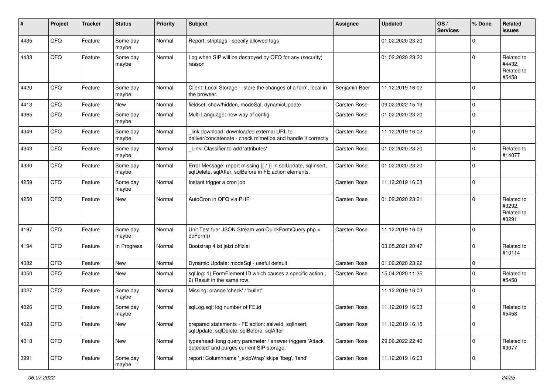| ∦    | Project | <b>Tracker</b> | <b>Status</b>     | <b>Priority</b> | <b>Subject</b>                                                                                                          | <b>Assignee</b> | <b>Updated</b>   | OS/<br><b>Services</b> | % Done      | Related<br>issues                           |
|------|---------|----------------|-------------------|-----------------|-------------------------------------------------------------------------------------------------------------------------|-----------------|------------------|------------------------|-------------|---------------------------------------------|
| 4435 | QFQ     | Feature        | Some day<br>maybe | Normal          | Report: striptags - specify allowed tags                                                                                |                 | 01.02.2020 23:20 |                        | $\Omega$    |                                             |
| 4433 | QFQ     | Feature        | Some day<br>maybe | Normal          | Log when SIP will be destroyed by QFQ for any (security)<br>reason                                                      |                 | 01.02.2020 23:20 |                        | $\Omega$    | Related to<br>#4432,<br>Related to<br>#5458 |
| 4420 | QFQ     | Feature        | Some day<br>maybe | Normal          | Client: Local Storage - store the changes of a form, local in<br>the browser.                                           | Benjamin Baer   | 11.12.2019 16:02 |                        | $\Omega$    |                                             |
| 4413 | QFQ     | Feature        | New               | Normal          | fieldset: show/hidden, modeSql, dynamicUpdate                                                                           | Carsten Rose    | 09.02.2022 15:19 |                        | $\Omega$    |                                             |
| 4365 | QFQ     | Feature        | Some day<br>maybe | Normal          | Multi Language: new way of config                                                                                       | Carsten Rose    | 01.02.2020 23:20 |                        | $\Omega$    |                                             |
| 4349 | QFQ     | Feature        | Some day<br>maybe | Normal          | link download: downloaded external URL to<br>deliver/concatenate - check mimetipe and handle it correctly               | Carsten Rose    | 11.12.2019 16:02 |                        | $\Omega$    |                                             |
| 4343 | QFQ     | Feature        | Some day<br>maybe | Normal          | Link: Classifier to add 'attributes'                                                                                    | Carsten Rose    | 01.02.2020 23:20 |                        | $\Omega$    | Related to<br>#14077                        |
| 4330 | QFQ     | Feature        | Some day<br>maybe | Normal          | Error Message: report missing {{ / }} in sqlUpdate, sqlInsert,<br>sqlDelete, sqlAfter, sqlBefore in FE action elements. | Carsten Rose    | 01.02.2020 23:20 |                        | $\Omega$    |                                             |
| 4259 | QFQ     | Feature        | Some day<br>maybe | Normal          | Instant trigger a cron job                                                                                              | Carsten Rose    | 11.12.2019 16:03 |                        | $\mathbf 0$ |                                             |
| 4250 | QFQ     | Feature        | <b>New</b>        | Normal          | AutoCron in QFQ via PHP                                                                                                 | Carsten Rose    | 01.02.2020 23:21 |                        | $\Omega$    | Related to<br>#3292,<br>Related to<br>#3291 |
| 4197 | QFQ     | Feature        | Some day<br>maybe | Normal          | Unit Test fuer JSON Stream von QuickFormQuery.php ><br>doForm()                                                         | Carsten Rose    | 11.12.2019 16:03 |                        | 0           |                                             |
| 4194 | QFQ     | Feature        | In Progress       | Normal          | Bootstrap 4 ist jetzt offiziel                                                                                          |                 | 03.05.2021 20:47 |                        | $\Omega$    | Related to<br>#10114                        |
| 4082 | QFQ     | Feature        | <b>New</b>        | Normal          | Dynamic Update: modeSql - useful default                                                                                | Carsten Rose    | 01.02.2020 23:22 |                        | $\mathbf 0$ |                                             |
| 4050 | QFQ     | Feature        | <b>New</b>        | Normal          | sql.log: 1) FormElement ID which causes a specific action,<br>2) Result in the same row.                                | Carsten Rose    | 15.04.2020 11:35 |                        | $\Omega$    | Related to<br>#5458                         |
| 4027 | QFQ     | Feature        | Some day<br>maybe | Normal          | Missing: orange 'check' / 'bullet'                                                                                      |                 | 11.12.2019 16:03 |                        | $\Omega$    |                                             |
| 4026 | QFQ     | Feature        | Some day<br>maybe | Normal          | sqlLog.sql: log number of FE.id                                                                                         | Carsten Rose    | 11.12.2019 16:03 |                        | $\Omega$    | Related to<br>#5458                         |
| 4023 | QFQ     | Feature        | New               | Normal          | prepared statements - FE action: salveld, sqlInsert,<br>sqlUpdate, sqlDelete, sqlBefore, sqlAfter                       | Carsten Rose    | 11.12.2019 16:15 |                        | 0           |                                             |
| 4018 | QFQ     | Feature        | New               | Normal          | typeahead: long query parameter / answer triggers 'Attack<br>detected' and purges current SIP storage.                  | Carsten Rose    | 29.06.2022 22:46 |                        | 0           | Related to<br>#9077                         |
| 3991 | QFQ     | Feature        | Some day<br>maybe | Normal          | report: Columnname '_skipWrap' skips 'fbeg', 'fend'                                                                     | Carsten Rose    | 11.12.2019 16:03 |                        | 0           |                                             |